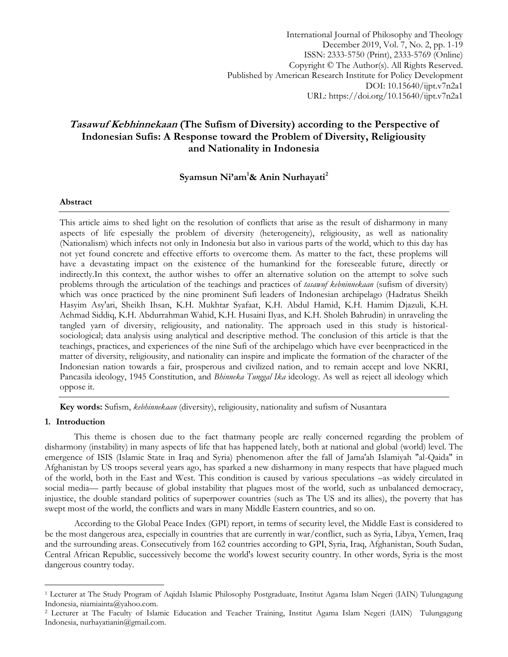International Journal of Philosophy and Theology December 2019, Vol. 7, No. 2, pp. 1-19 ISSN: 2333-5750 (Print), 2333-5769 (Online) Copyright © The Author(s). All Rights Reserved. Published by American Research Institute for Policy Development DOI: 10.15640/ijpt.v7n2a1 URL: https://doi.org/10.15640/ijpt.v7n2a1

# **Tasawuf Kebhinnekaan (The Sufism of Diversity) according to the Perspective of Indonesian Sufis: A Response toward the Problem of Diversity, Religiousity and Nationality in Indonesia**

# **Syamsun Ni'am<sup>1</sup>& Anin Nurhayati<sup>2</sup>**

# **Abstract**

This article aims to shed light on the resolution of conflicts that arise as the result of disharmony in many aspects of life espesially the problem of diversity (heterogeneity), religiousity, as well as nationality (Nationalism) which infects not only in Indonesia but also in various parts of the world, which to this day has not yet found concrete and effective efforts to overcome them. As matter to the fact, these proplems will have a devastating impact on the existence of the humankind for the foreseeable future, directly or indirectly.In this context, the author wishes to offer an alternative solution on the attempt to solve such problems through the articulation of the teachings and practices of *tasawuf kebninnekaan* (sufism of diversity) which was once practiced by the nine prominent Sufi leaders of Indonesian archipelago (Hadratus Sheikh Hasyim Asy'ari, Sheikh Ihsan, K.H. Mukhtar Syafaat, K.H. Abdul Hamid, K.H. Hamim Djazuli, K.H. Achmad Siddiq, K.H. Abdurrahman Wahid, K.H. Husaini Ilyas, and K.H. Sholeh Bahrudin) in unraveling the tangled yarn of diversity, religiousity, and nationality. The approach used in this study is historicalsociological; data analysis using analytical and descriptive method. The conclusion of this article is that the teachings, practices, and experiences of the nine Sufi of the archipelago which have ever beenpracticed in the matter of diversity, religiousity, and nationality can inspire and implicate the formation of the character of the Indonesian nation towards a fair, prosperous and civilized nation, and to remain accept and love NKRI, Pancasila ideology, 1945 Constitution, and *Bhinneka Tunggal Ika* ideology. As well as reject all ideology which oppose it.

**Key words:** Sufism, *kebhinnekaan* (diversity), religiousity, nationality and sufism of Nusantara

# **1. Introduction**

 $\overline{a}$ 

This theme is chosen due to the fact thatmany people are really concerned regarding the problem of disharmony (instability) in many aspects of life that has happened lately, both at national and global (world) level. The emergence of ISIS (Islamic State in Iraq and Syria) phenomenon after the fall of Jama'ah Islamiyah "al-Qaida" in Afghanistan by US troops several years ago, has sparked a new disharmony in many respects that have plagued much of the world, both in the East and West. This condition is caused by various speculations –as widely circulated in social media— partly because of global instability that plagues most of the world, such as unbalanced democracy, injustice, the double standard politics of superpower countries (such as The US and its allies), the poverty that has swept most of the world, the conflicts and wars in many Middle Eastern countries, and so on.

According to the Global Peace Index (GPI) report, in terms of security level, the Middle East is considered to be the most dangerous area, especially in countries that are currently in war/conflict, such as Syria, Libya, Yemen, Iraq and the surrounding areas. Consecutively from 162 countries according to GPI, Syria, Iraq, Afghanistan, South Sudan, Central African Republic, successively become the world's lowest security country. In other words, Syria is the most dangerous country today.

<sup>1</sup> Lecturer at The Study Program of Aqidah Islamic Philosophy Postgraduate, Institut Agama Islam Negeri (IAIN) Tulungagung Indonesia, niamiainta@yahoo.com.

<sup>2</sup> Lecturer at The Faculty of Islamic Education and Teacher Training, Institut Agama Islam Negeri (IAIN) Tulungagung Indonesia, nurhayatianin@gmail.com.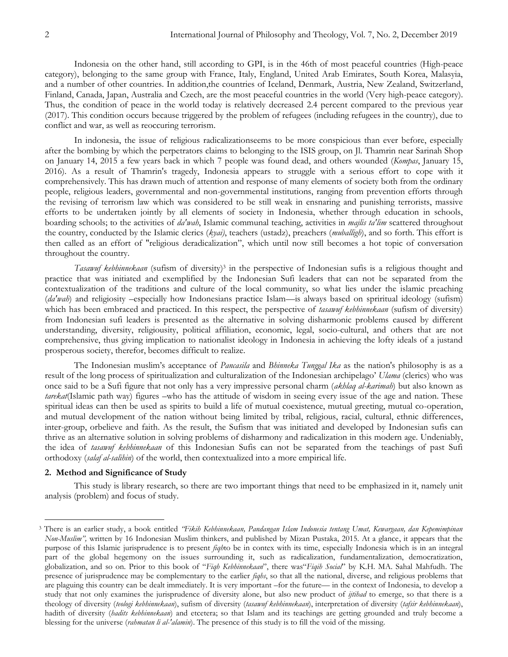Indonesia on the other hand, still according to GPI, is in the 46th of most peaceful countries (High-peace category), belonging to the same group with France, Italy, England, United Arab Emirates, South Korea, Malasyia, and a number of other countries. In addition,the countries of Iceland, Denmark, Austria, New Zealand, Switzerland, Finland, Canada, Japan, Australia and Czech, are the most peaceful countries in the world (Very high-peace category). Thus, the condition of peace in the world today is relatively decreased 2.4 percent compared to the previous year (2017). This condition occurs because triggered by the problem of refugees (including refugees in the country), due to conflict and war, as well as reoccuring terrorism.

In indonesia, the issue of religious radicalizationseems to be more conspicious than ever before, especially after the bombing by which the perpetrators claims to belonging to the ISIS group, on Jl. Thamrin near Sarinah Shop on January 14, 2015 a few years back in which 7 people was found dead, and others wounded (*Kompas*, January 15, 2016). As a result of Thamrin's tragedy, Indonesia appears to struggle with a serious effort to cope with it comprehensively. This has drawn much of attention and response of many elements of society both from the ordinary people, religious leaders, governmental and non-governmental institutions, ranging from prevention efforts through the revising of terrorism law which was considered to be still weak in ensnaring and punishing terrorists, massive efforts to be undertaken jointly by all elements of society in Indonesia, whether through education in schools, boarding schools; to the activities of *da'wah*, Islamic communal teaching, activities in *majlis ta'lim* scattered throughout the country, conducted by the Islamic clerics (*kyai)*, teachers (ustadz), preachers (*muballigh*), and so forth. This effort is then called as an effort of "religious deradicalization", which until now still becomes a hot topic of conversation throughout the country.

Tasawuf kebhinnekaan (sufism of diversity)<sup>3</sup> in the perspective of Indonesian sufis is a religious thought and practice that was initiated and exemplified by the Indonesian Sufi leaders that can not be separated from the contextualization of the traditions and culture of the local community, so what lies under the islamic preaching (*da'wah*) and religiosity –especially how Indonesians practice Islam—is always based on spriritual ideology (sufism) which has been embraced and practiced. In this respect, the perspective of *tasawuf kebhinnekaan* (sufism of diversity) from Indonesian sufi leaders is presented as the alternative in solving disharmonic problems caused by different understanding, diversity, religiousity, political affiliation, economic, legal, socio-cultural, and others that are not comprehensive, thus giving implication to nationalist ideology in Indonesia in achieving the lofty ideals of a justand prosperous society, therefor, becomes difficult to realize.

The Indonesian muslim's acceptance of *Pancasila* and *Bhinneka Tunggal Ika* as the nation's philosophy is as a result of the long process of spiritualization and culturalization of the Indonesian archipelago' *Ulama* (clerics) who was once said to be a Sufi figure that not only has a very impressive personal charm (*akhlaq al-karimah*) but also known as *tarekat*(Islamic path way) figures –who has the attitude of wisdom in seeing every issue of the age and nation. These spiritual ideas can then be used as spirits to build a life of mutual coexistence, mutual greeting, mutual co-operation, and mutual development of the nation without being limited by tribal, religious, racial, cultural, ethnic differences, inter-group, orbelieve and faith. As the result, the Sufism that was initiated and developed by Indonesian sufis can thrive as an alternative solution in solving problems of disharmony and radicalization in this modern age. Undeniably, the idea of *tasawuf kebhinnekaan* of this Indonesian Sufis can not be separated from the teachings of past Sufi orthodoxy (*salaf al-salihin*) of the world, then contextualized into a more empirical life.

#### **2. Method and Significance of Study**

 $\overline{a}$ 

This study is library research, so there are two important things that need to be emphasized in it, namely unit analysis (problem) and focus of study.

<sup>3</sup> There is an earlier study, a book entitled *"Fikih Kebhinnekaan, Pandangan Islam Indonesia tentang Umat, Kewargaan, dan Kepemimpinan Non-Muslim",* written by 16 Indonesian Muslim thinkers, and published by Mizan Pustaka, 2015. At a glance, it appears that the purpose of this Islamic jurisprudence is to present *fiqh*to be in contex with its time, especially Indonesia which is in an integral part of the global hegemony on the issues surrounding it, such as radicalization, fundamentalization, democratization, globalization, and so on. Prior to this book of "*Fiqh Kebhinnekaan*", there was "*Fiqih Social*" by K.H. MA. Sahal Mahfudh. The presence of jurisprudence may be complementary to the earlier *fiqhs*, so that all the national, diverse, and religious problems that are plaguing this country can be dealt immediately. It is very important –for the future— in the context of Indonesia, to develop a study that not only examines the jurisprudence of diversity alone, but also new product of *ijtihad* to emerge, so that there is a theology of diversity (*teologi kebhinnekaan*), sufism of diversity (*tasawuf kebhinnekaan*), interpretation of diversity (*tafsir kebhinnekaan*), hadith of diversity (*hadits kebhinnekaan*) and etcetera; so that Islam and its teachings are getting grounded and truly become a blessing for the universe (*rahmatan li al-'alamin*). The presence of this study is to fill the void of the missing.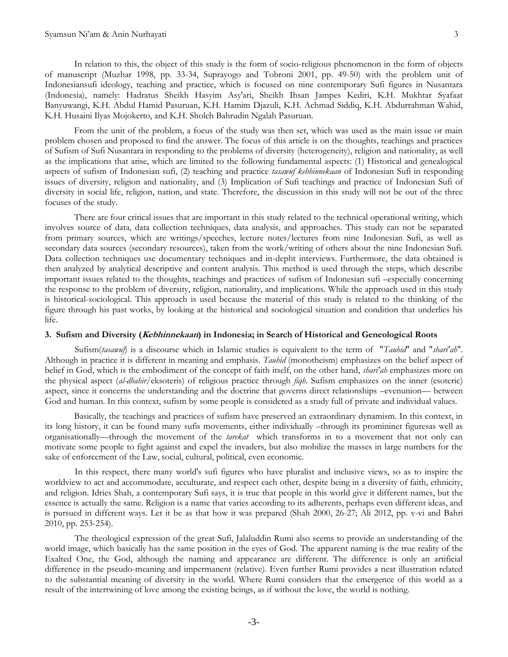#### Syamsun Ni'am & Anin Nurhayati 3

In relation to this, the object of this study is the form of socio-religious phenomenon in the form of objects of manuscript (Muzhar 1998, pp. 33-34, Suprayogo and Tobroni 2001, pp. 49-50) with the problem unit of Indonesiansufi ideology, teaching and practice, which is focused on nine contemporary Sufi figures in Nusantara (Indonesia), namely: Hadratus Sheikh Hasyim Asy'ari, Sheikh Ihsan Jampes Kediri, K.H. Mukhtar Syafaat Banyuwangi, K.H. Abdul Hamid Pasuruan, K.H. Hamim Djazuli, K.H. Achmad Siddiq, K.H. Abdurrahman Wahid, K.H. Husaini Ilyas Mojokerto, and K.H. Sholeh Bahrudin Ngalah Pasuruan.

From the unit of the problem, a focus of the study was then set, which was used as the main issue or main problem chosen and proposed to find the answer. The focus of this article is on the thoughts, teachings and practices of Sufism of Sufi Nusantara in responding to the problems of diversity (heterogeneity), religion and nationality, as well as the implications that arise, which are limited to the following fundamental aspects: (1) Historical and genealogical aspects of sufism of Indonesian sufi, (2) teaching and practice *tasawuf kebhinnekaan* of Indonesian Sufi in responding issues of diversity, religion and nationality, and (3) Implication of Sufi teachings and practice of Indonesian Sufi of diversity in social life, religion, nation, and state. Therefore, the discussion in this study will not be out of the three focuses of the study.

There are four critical issues that are important in this study related to the technical operational writing, which involves source of data, data collection techniques, data analysis, and approaches. This study can not be separated from primary sources, which are writings/speeches, lecture notes/lectures from nine Indonesian Sufi, as well as secondary data sources (secondary resources), taken from the work/writing of others about the nine Indonesian Sufi. Data collection techniques use documentary techniques and in-depht interviews. Furthermore, the data obtained is then analyzed by analytical descriptive and content analysis. This method is used through the steps, which describe important issues related to the thoughts, teachings and practices of sufism of Indonesian sufi –especially concerning the response to the problem of diversity, religion, nationality, and implications. While the approach used in this study is historical-sociological. This approach is used because the material of this study is related to the thinking of the figure through his past works, by looking at the historical and sociological situation and condition that underlies his life.

#### **3. Sufism and Diversity (Kebhinnekaan) in Indonesia; in Search of Historical and Geneological Roots**

Sufism(*tasawuf*) is a discourse which in Islamic studies is equivalent to the term of "*Tauhid*" and "*shari'ah*". Although in practice it is different in meaning and emphasis. *Tauhid* (monotheism) emphasizes on the belief aspect of belief in God, which is the embodiment of the concept of faith itself, on the other hand, *shari'ah* emphasizes more on the physical aspect (*al-dhahir*/eksoteris) of religious practice through *fiqh*. Sufism emphasizes on the inner (esoteric) aspect, since it concerns the understanding and the doctrine that governs direct relationships –evenunion— between God and human. In this context, sufism by some people is considered as a study full of private and individual values.

Basically, the teachings and practices of sufism have preserved an extraordinary dynamism. In this context, in its long history, it can be found many sufis movements, either individually –through its promininet figuresas well as organisationally—through the movement of the *tarekat* which transforms in to a movement that not only can motivate some people to fight against and expel the invaders, but also mobilize the masses in large numbers for the sake of enforcement of the Law, social, cultural, political, even economic.

In this respect, there many world's sufi figures who have pluralist and inclusive views, so as to inspire the worldview to act and accommodate, acculturate, and respect each other, despite being in a diversity of faith, ethnicity, and religion. Idries Shah, a contemporary Sufi says, it is true that people in this world give it different names, but the essence is actually the same. Religion is a name that varies according to its adherents, perhaps even different ideas, and is pursued in different ways. Let it be as that how it was prepared (Shah 2000, 26-27; Ali 2012, pp. v-vi and Bahri 2010, pp. 253-254).

The theological expression of the great Sufi, Jalaluddin Rumi also seems to provide an understanding of the world image, which basically has the same position in the eyes of God. The apparent naming is the true reality of the Exalted One, the God, although the naming and appearance are different. The difference is only an artificial difference in the pseudo-meaning and impermanent (relative). Even further Rumi provides a neat illustration related to the substantial meaning of diversity in the world. Where Rumi considers that the emergence of this world as a result of the intertwining of love among the existing beings, as if without the love, the world is nothing.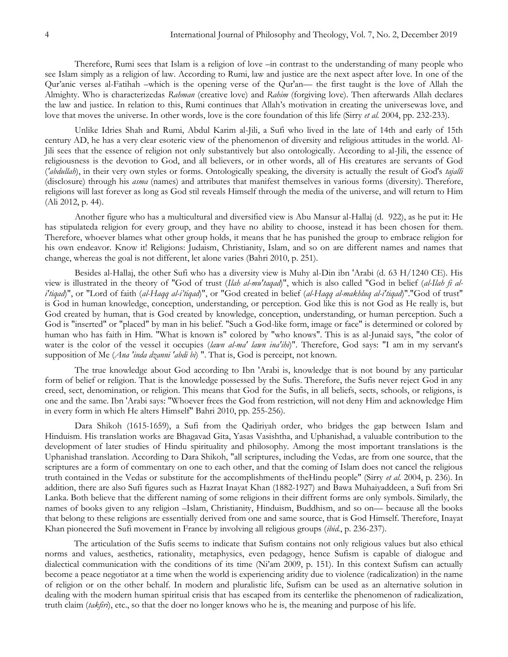Therefore, Rumi sees that Islam is a religion of love –in contrast to the understanding of many people who see Islam simply as a religion of law. According to Rumi, law and justice are the next aspect after love. In one of the Qur'anic verses al-Fatihah –which is the opening verse of the Qur'an— the first taught is the love of Allah the Almighty. Who is characterizedas *Rahman* (creative love) and *Rahim* (forgiving love). Then afterwards Allah declares the law and justice. In relation to this, Rumi continues that Allah's motivation in creating the universewas love, and love that moves the universe. In other words, love is the core foundation of this life (Sirry *et al.* 2004, pp. 232-233).

Unlike Idries Shah and Rumi, Abdul Karim al-Jili, a Sufi who lived in the late of 14th and early of 15th century AD, he has a very clear esoteric view of the phenomenon of diversity and religious attitudes in the world. Al-Jili sees that the essence of religion not only substantively but also ontologically. According to al-Jili, the essence of religiousness is the devotion to God, and all believers, or in other words, all of His creatures are servants of God (*'abdullah*), in their very own styles or forms. Ontologically speaking, the diversity is actually the result of God's *tajalli* (disclosure) through his *asma* (names) and attributes that manifest themselves in various forms (diversity). Therefore, religions will last forever as long as God stil reveals Himself through the media of the universe, and will return to Him (Ali 2012, p. 44).

Another figure who has a multicultural and diversified view is Abu Mansur al-Hallaj (d. 922), as he put it: He has stipulateda religion for every group, and they have no ability to choose, instead it has been chosen for them. Therefore, whoever blames what other group holds, it means that he has punished the group to embrace religion for his own endeavor. Know it! Religions: Judaism, Christianity, Islam, and so on are different names and names that change, whereas the goal is not different, let alone varies (Bahri 2010, p. 251).

Besides al-Hallaj, the other Sufi who has a diversity view is Muhy al-Din ibn 'Arabi (d. 63 H/1240 CE). His view is illustrated in the theory of "God of trust (*Ilah al-mu'taqad*)", which is also called "God in belief (*al-Ilah fi ali'tiqad*)", or "Lord of faith (*al-Haqq al-i"tiqad*)", or "God created in belief (*al-Haqq al-makhluq al-i'tiqad*)"."God of trust" is God in human knowledge, conception, understanding, or perception. God like this is not God as He really is, but God created by human, that is God created by knowledge, conception, understanding, or human perception. Such a God is "inserted" or "placed" by man in his belief. "Such a God-like form, image or face" is determined or colored by human who has faith in Him. "What is known is" colored by "who knows". This is as al-Junaid says, "the color of water is the color of the vessel it occupies (*lawn al-ma' lawn ina'ihi*)". Therefore, God says: "I am in my servant's supposition of Me (*Ana 'inda dzanni 'abdi bi*) ". That is, God is perceipt, not known.

The true knowledge about God according to Ibn 'Arabi is, knowledge that is not bound by any particular form of belief or religion. That is the knowledge possessed by the Sufis. Therefore, the Sufis never reject God in any creed, sect, denomination, or religion. This means that God for the Sufis, in all beliefs, sects, schools, or religions, is one and the same. Ibn 'Arabi says: "Whoever frees the God from restriction, will not deny Him and acknowledge Him in every form in which He alters Himself" Bahri 2010, pp. 255-256).

Dara Shikoh (1615-1659), a Sufi from the Qadiriyah order, who bridges the gap between Islam and Hinduism. His translation works are Bhagavad Gita, Yasas Vasishtha, and Uphanishad, a valuable contribution to the development of later studies of Hindu spirituality and philosophy. Among the most important translations is the Uphanishad translation. According to Dara Shikoh, "all scriptures, including the Vedas, are from one source, that the scriptures are a form of commentary on one to each other, and that the coming of Islam does not cancel the religious truth contained in the Vedas or substitute for the accomplishments of theHindu people" (Sirry *et al.* 2004, p. 236). In addition, there are also Sufi figures such as Hazrat Inayat Khan (1882-1927) and Bawa Muhaiyaddeen, a Sufi from Sri Lanka. Both believe that the different naming of some religions in their diffrent forms are only symbols. Similarly, the names of books given to any religion –Islam, Christianity, Hinduism, Buddhism, and so on— because all the books that belong to these religions are essentially derived from one and same source, that is God Himself. Therefore, Inayat Khan pioneered the Sufi movement in France by involving all religious groups (*ibid.*, p. 236-237).

The articulation of the Sufis seems to indicate that Sufism contains not only religious values but also ethical norms and values, aesthetics, rationality, metaphysics, even pedagogy, hence Sufism is capable of dialogue and dialectical communication with the conditions of its time (Ni'am 2009, p. 151). In this context Sufism can actually become a peace negotiator at a time when the world is experiencing aridity due to violence (radicalization) in the name of religion or on the other behalf. In modern and pluralistic life, Sufism can be used as an alternative solution in dealing with the modern human spiritual crisis that has escaped from its centerlike the phenomenon of radicalization, truth claim (*takfiri*), etc., so that the doer no longer knows who he is, the meaning and purpose of his life.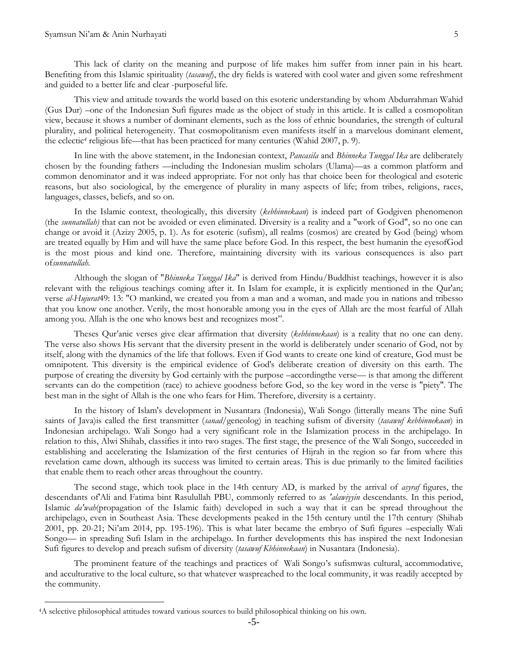This lack of clarity on the meaning and purpose of life makes him suffer from inner pain in his heart. Benefiting from this Islamic spirituality (*tasawuf*), the dry fields is watered with cool water and given some refreshment and guided to a better life and clear -purposeful life.

This view and attitude towards the world based on this esoteric understanding by whom Abdurrahman Wahid (Gus Dur) –one of the Indonesian Sufi figures made as the object of study in this article. It is called a cosmopolitan view, because it shows a number of dominant elements, such as the loss of ethnic boundaries, the strength of cultural plurality, and political heterogeneity. That cosmopolitanism even manifests itself in a marvelous dominant element, the eclectic*<sup>4</sup>* religious life—that has been practiced for many centuries (Wahid 2007, p. 9).

In line with the above statement, in the Indonesian context, *Pancasila* and *Bhinneka Tunggal Ika* are deliberately chosen by the founding fathers —including the Indonesian muslim scholars (Ulama)—as a common platform and common denominator and it was indeed appropriate. For not only has that choice been for theological and esoteric reasons, but also sociological, by the emergence of plurality in many aspects of life; from tribes, religions, races, languages, classes, beliefs, and so on.

In the Islamic context, theologically, this diversity (*kebhinnekaan*) is indeed part of Godgiven phenomenon (the *sunnatullah)* that can not be avoided or even eliminated. Diversity is a reality and a "work of God", so no one can change or avoid it (Azizy 2005, p. 1). As for esoteric (sufism), all realms (cosmos) are created by God (being) whom are treated equally by Him and will have the same place before God. In this respect, the best humanin the eyesofGod is the most pious and kind one. Therefore, maintaining diversity with its various consequences is also part of*sunnatullah*.

Although the slogan of "*Bhinneka Tunggal Ika*" is derived from Hindu/Buddhist teachings, however it is also relevant with the religious teachings coming after it. In Islam for example, it is explicitly mentioned in the Qur'an; verse *al-Hujurat*49: 13: "O mankind, we created you from a man and a woman, and made you in nations and tribesso that you know one another. Verily, the most honorable among you in the eyes of Allah are the most fearful of Allah among you. Allah is the one who knows best and recognizes most".

Theses Qur'anic verses give clear affirmation that diversity (*kebhinnekaan*) is a reality that no one can deny. The verse also shows His servant that the diversity present in the world is deliberately under scenario of God, not by itself, along with the dynamics of the life that follows. Even if God wants to create one kind of creature, God must be omnipotent. This diversity is the empirical evidence of God's deliberate creation of diversity on this earth. The purpose of creating the diversity by God certainly with the purpose –accordingthe verse— is that among the different servants can do the competition (race) to achieve goodness before God, so the key word in the verse is "piety". The best man in the sight of Allah is the one who fears for Him. Therefore, diversity is a certainty.

In the history of Islam's development in Nusantara (Indonesia), Wali Songo (litterally means The nine Sufi saints of Java)is called the first transmitter (*sanad*/geneolog) in teaching sufism of diversity (*tasawuf kebhinnekaan*) in Indonesian archipelago. Wali Songo had a very significant role in the Islamization process in the archipelago. In relation to this, Alwi Shihab, classifies it into two stages. The first stage, the presence of the Wali Songo, succeeded in establishing and accelerating the Islamization of the first centuries of Hijrah in the region so far from where this revelation came down, although its success was limited to certain areas. This is due primarily to the limited facilities that enable them to reach other areas throughout the country.

The second stage, which took place in the 14th century AD, is marked by the arrival of *asyraf* figures, the descendants of'Ali and Fatima bint Rasulullah PBU, commonly referred to as *'alawiyyin* descendants. In this period, Islamic *da'wah*(propagation of the Islamic faith) developed in such a way that it can be spread throughout the archipelago, even in Southeast Asia. These developments peaked in the 15th century until the 17th century (Shihab 2001, pp. 20-21; Ni'am 2014, pp. 195-196). This is what later became the embryo of Sufi figures –especially Wali Songo— in spreading Sufi Islam in the archipelago. In further developments this has inspired the next Indonesian Sufi figures to develop and preach sufism of diversity (*tasawuf Kbhinnekaan*) in Nusantara (Indonesia).

The prominent feature of the teachings and practices of Wali Songo's sufismwas cultural, accommodative, and acculturative to the local culture, so that whatever waspreached to the local community, it was readily accepted by the community.

 $\overline{a}$ 

<sup>4</sup>A selective philosophical attitudes toward various sources to build philosophical thinking on his own.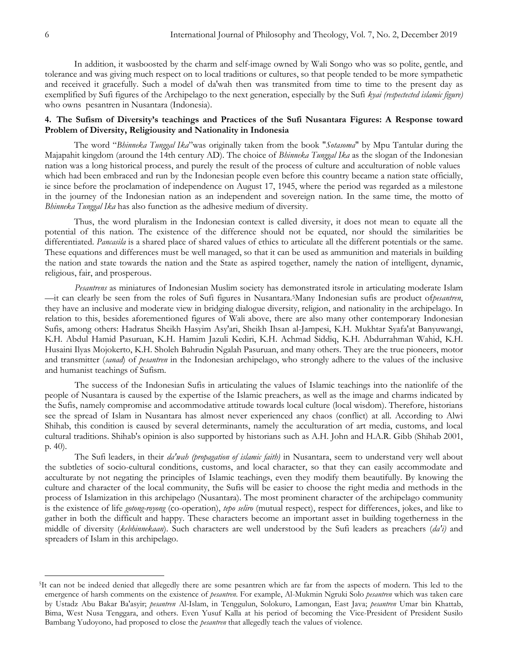In addition, it wasboosted by the charm and self-image owned by Wali Songo who was so polite, gentle, and tolerance and was giving much respect on to local traditions or cultures, so that people tended to be more sympathetic and received it gracefully. Such a model of da'wah then was transmited from time to time to the present day as exemplified by Sufi figures of the Archipelago to the next generation, especially by the Sufi *kyai (respectected islamic figure)* who owns pesantren in Nusantara (Indonesia).

# **4. The Sufism of Diversity's teachings and Practices of the Sufi Nusantara Figures: A Response toward Problem of Diversity, Religiousity and Nationality in Indonesia**

The word "Bhinneka Tunggal Ika" was originally taken from the book "Sotasoma" by Mpu Tantular during the Majapahit kingdom (around the 14th century AD). The choice of *Bhinneka Tunggal Ika* as the slogan of the Indonesian nation was a long historical process, and purely the result of the process of culture and acculturation of noble values which had been embraced and run by the Indonesian people even before this country became a nation state officially, ie since before the proclamation of independence on August 17, 1945, where the period was regarded as a milestone in the journey of the Indonesian nation as an independent and sovereign nation. In the same time, the motto of *Bhinneka Tunggal Ika* has also function as the adhesive medium of diversity.

Thus, the word pluralism in the Indonesian context is called diversity, it does not mean to equate all the potential of this nation. The existence of the difference should not be equated, nor should the similarities be differentiated. *Pancasila* is a shared place of shared values of ethics to articulate all the different potentials or the same. These equations and differences must be well managed, so that it can be used as ammunition and materials in building the nation and state towards the nation and the State as aspired together, namely the nation of intelligent, dynamic, religious, fair, and prosperous.

*Pesantrens* as miniatures of Indonesian Muslim society has demonstrated itsrole in articulating moderate Islam —it can clearly be seen from the roles of Sufi figures in Nusantara.5Many Indonesian sufis are product of*pesantren*, they have an inclusive and moderate view in bridging dialogue diversity, religion, and nationality in the archipelago. In relation to this, besides aforementioned figures of Wali above, there are also many other contemporary Indonesian Sufis, among others: Hadratus Sheikh Hasyim Asy'ari, Sheikh Ihsan al-Jampesi, K.H. Mukhtar Syafa'at Banyuwangi, K.H. Abdul Hamid Pasuruan, K.H. Hamim Jazuli Kediri, K.H. Achmad Siddiq, K.H. Abdurrahman Wahid, K.H. Husaini Ilyas Mojokerto, K.H. Sholeh Bahrudin Ngalah Pasuruan, and many others. They are the true pioneers, motor and transmitter (*sanad*) of *pesantren* in the Indonesian archipelago, who strongly adhere to the values of the inclusive and humanist teachings of Sufism.

The success of the Indonesian Sufis in articulating the values of Islamic teachings into the nationlife of the people of Nusantara is caused by the expertise of the Islamic preachers, as well as the image and charms indicated by the Sufis, namely compromise and accommodative attitude towards local culture (local wisdom). Therefore, historians see the spread of Islam in Nusantara has almost never experienced any chaos (conflict) at all. According to Alwi Shihab, this condition is caused by several determinants, namely the acculturation of art media, customs, and local cultural traditions. Shihab's opinion is also supported by historians such as A.H. John and H.A.R. Gibb (Shihab 2001, p. 40).

The Sufi leaders, in their *da'wah (propagation of islamic faith)* in Nusantara, seem to understand very well about the subtleties of socio-cultural conditions, customs, and local character, so that they can easily accommodate and acculturate by not negating the principles of Islamic teachings, even they modify them beautifully. By knowing the culture and character of the local community, the Sufis will be easier to choose the right media and methods in the process of Islamization in this archipelago (Nusantara). The most prominent character of the archipelago community is the existence of life *gotong-royong* (co-operation), *tepo seliro* (mutual respect), respect for differences, jokes, and like to gather in both the difficult and happy. These characters become an important asset in building togetherness in the middle of diversity (*kebhinnekaan*). Such characters are well understood by the Sufi leaders as preachers (*da'i)* and spreaders of Islam in this archipelago.

 $\overline{a}$ 

<sup>5</sup>It can not be indeed denied that allegedly there are some pesantren which are far from the aspects of modern. This led to the emergence of harsh comments on the existence of *pesantren*. For example, Al-Mukmin Ngruki Solo *pesantren* which was taken care by Ustadz Abu Bakar Ba'asyir; *pesantren* Al-Islam, in Tenggulun, Solokuro, Lamongan, East Java; *pesantren* Umar bin Khattab, Bima, West Nusa Tenggara, and others. Even Yusuf Kalla at his period of becoming the Vice-President of President Susilo Bambang Yudoyono, had proposed to close the *pesantren* that allegedly teach the values of violence.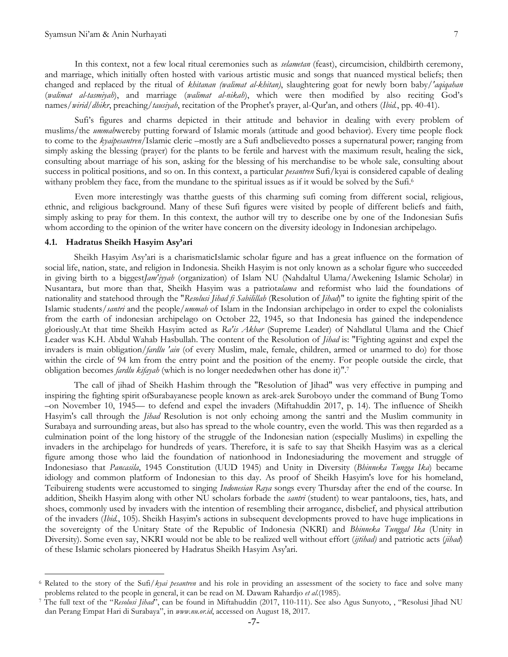In this context, not a few local ritual ceremonies such as *selametan* (feast), circumcision, childbirth ceremony, and marriage, which initially often hosted with various artistic music and songs that nuanced mystical beliefs; then changed and replaced by the ritual of *khitanan (walimat al-khitan)*, slaughtering goat for newly born baby/*'aqiqahan*

Sufi's figures and charms depicted in their attitude and behavior in dealing with every problem of muslims/the *ummah*wereby putting forward of Islamic morals (attitude and good behavior). Every time people flock to come to the *kyaipesantren*/Islamic cleric –mostly are a Sufi andbelievedto posses a supernatural power; ranging from simply asking the blessing (prayer) for the plants to be fertile and harvest with the maximum result, healing the sick, consulting about marriage of his son, asking for the blessing of his merchandise to be whole sale, consulting about success in political positions, and so on. In this context, a particular *pesantren* Sufi/kyai is considered capable of dealing withany problem they face, from the mundane to the spiritual issues as if it would be solved by the Sufi.<sup>6</sup>

(*walimat al-tasmiyah*), and marriage (*walimat al-nikah*), which were then modified by also reciting God's names/*wirid/dhikr*, preaching/*tausiyah*, recitation of the Prophet's prayer, al-Qur'an, and others (*Ibid.*, pp. 40-41).

Even more interestingly was thatthe guests of this charming sufi coming from different social, religious, ethnic, and religious background. Many of these Sufi figures were visited by people of different beliefs and faith, simply asking to pray for them. In this context, the author will try to describe one by one of the Indonesian Sufis whom according to the opinion of the writer have concern on the diversity ideology in Indonesian archipelago.

#### **4.1. Hadratus Sheikh Hasyim Asy'ari**

 $\overline{a}$ 

Sheikh Hasyim Asy'ari is a charismaticIslamic scholar figure and has a great influence on the formation of social life, nation, state, and religion in Indonesia. Sheikh Hasyim is not only known as a scholar figure who succeeded in giving birth to a biggest*Jam'iyyah* (organization) of Islam NU (Nahdaltul Ulama/Awekening Islamic Scholar) in Nusantara, but more than that, Sheikh Hasyim was a patriot*ulama* and reformist who laid the foundations of nationality and statehood through the "*Resolusi Jihad fi Sabilillah* (Resolution of *Jihad*)" to ignite the fighting spirit of the Islamic students/*santri* and the people/*ummah* of Islam in the Indonsian archipelago in order to expel the colonialists from the earth of indonesian archipelago on October 22, 1945, so that Indonesia has gained the independence gloriously.At that time Sheikh Hasyim acted as *Ra'is Akbar* (Supreme Leader) of Nahdlatul Ulama and the Chief Leader was K.H. Abdul Wahab Hasbullah. The content of the Resolution of *Jihad* is: "Fighting against and expel the invaders is main obligation/*fardlu 'ain* (of every Muslim, male, female, children, armed or unarmed to do) for those within the circle of 94 km from the entry point and the position of the enemy. For people outside the circle, that obligation becomes *fardlu kifayah* (which is no longer neededwhen other has done it)".<sup>7</sup>

The call of jihad of Sheikh Hashim through the "Resolution of Jihad" was very effective in pumping and inspiring the fighting spirit ofSurabayanese people known as arek-arek Suroboyo under the command of Bung Tomo –on November 10, 1945— to defend and expel the invaders (Miftahuddin 2017, p. 14). The influence of Sheikh Hasyim's call through the *Jihad* Resolution is not only echoing among the santri and the Muslim community in Surabaya and surrounding areas, but also has spread to the whole country, even the world. This was then regarded as a culmination point of the long history of the struggle of the Indonesian nation (especially Muslims) in expelling the invaders in the archipelago for hundreds of years. Therefore, it is safe to say that Sheikh Hasyim was as a clerical figure among those who laid the foundation of nationhood in Indonesiaduring the movement and struggle of Indonesiaso that *Pancasila*, 1945 Constitution (UUD 1945) and Unity in Diversity (*Bhinneka Tungga Ika*) became idiology and common platform of Indonesian to this day. As proof of Sheikh Hasyim's love for his homeland, Teibuireng students were accustomed to singing *Indonesian Raya* songs every Thursday after the end of the course. In addition, Sheikh Hasyim along with other NU scholars forbade the *santri* (student) to wear pantaloons, ties, hats, and shoes, commonly used by invaders with the intention of resembling their arrogance, disbelief, and physical attribution of the invaders (*Ibid.*, 105). Sheikh Hasyim's actions in subsequent developments proved to have huge implications in the sovereignty of the Unitary State of the Republic of Indonesia (NKRI) and *Bhinneka Tunggal Ika* (Unity in Diversity). Some even say, NKRI would not be able to be realized well without effort (*ijtihad)* and patriotic acts (*jihad*) of these Islamic scholars pioneered by Hadratus Sheikh Hasyim Asy'ari.

<sup>6</sup> Related to the story of the Sufi/*kyai pesantren* and his role in providing an assessment of the society to face and solve many problems related to the people in general, it can be read on M. Dawam Rahardjo *et al.*(1985).

<sup>&</sup>lt;sup>7</sup> The full text of the "Resolusi Jihad", can be found in Miftahuddin (2017, 110-111). See also Agus Sunyoto, , "Resolusi Jihad NU dan Perang Empat Hari di Surabaya", in *www.nu.or.id*, accessed on August 18, 2017.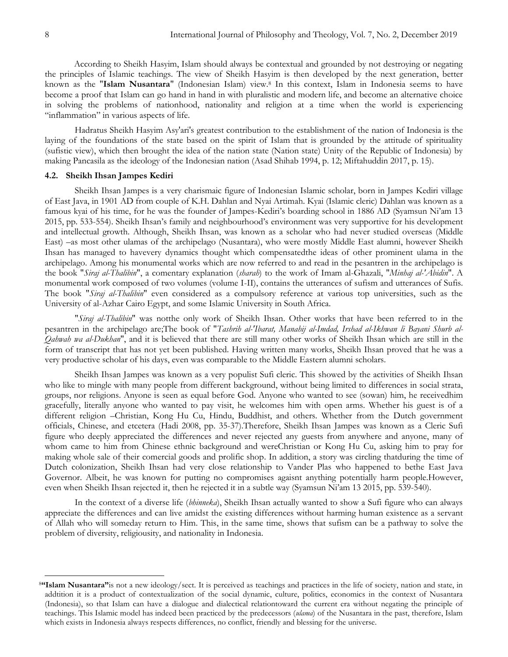According to Sheikh Hasyim, Islam should always be contextual and grounded by not destroying or negating the principles of Islamic teachings. The view of Sheikh Hasyim is then developed by the next generation, better known as the "**Islam Nusantara**" (Indonesian Islam) view.<sup>8</sup> In this context, Islam in Indonesia seems to have become a proof that Islam can go hand in hand in with pluralistic and modern life, and become an alternative choice in solving the problems of nationhood, nationality and religion at a time when the world is experiencing "inflammation" in various aspects of life.

Hadratus Sheikh Hasyim Asy'ari's greatest contribution to the establishment of the nation of Indonesia is the laying of the foundations of the state based on the spirit of Islam that is grounded by the attitude of spirituality (sufistic view), which then brought the idea of the nation state (Nation state) Unity of the Republic of Indonesia) by making Pancasila as the ideology of the Indonesian nation (Asad Shihab 1994, p. 12; Miftahuddin 2017, p. 15).

# **4.2. Sheikh Ihsan Jampes Kediri**

Sheikh Ihsan Jampes is a very charismaic figure of Indonesian Islamic scholar, born in Jampes Kediri village of East Java, in 1901 AD from couple of K.H. Dahlan and Nyai Artimah. Kyai (Islamic cleric) Dahlan was known as a famous kyai of his time, for he was the founder of Jampes-Kediri's boarding school in 1886 AD (Syamsun Ni'am 13 2015, pp. 533-554). Sheikh Ihsan's family and neighbourhood's environment was very supportive for his development and intellectual growth. Although, Sheikh Ihsan, was known as a scholar who had never studied overseas (Middle East) –as most other ulamas of the archipelago (Nusantara), who were mostly Middle East alumni, however Sheikh Ihsan has managed to havevery dynamics thought which compensatedthe ideas of other prominent ulama in the archipelago. Among his monumental works which are now referred to and read in the pesantren in the archipelago is the book "*Siraj al-Thalibin*", a comentary explanation (*sharah*) to the work of Imam al-Ghazali, "*Minhaj al-'Abidin*". A monumental work composed of two volumes (volume I-II), contains the utterances of sufism and utterances of Sufis. The book "*Siraj al-Thalibin*" even considered as a compulsory reference at various top universities, such as the University of al-Azhar Cairo Egypt, and some Islamic University in South Africa.

"*Siraj al-Thalibin*" was notthe only work of Sheikh Ihsan. Other works that have been referred to in the pesantren in the archipelago are;The book of "*Tashrih al-'Ibarat, Manahij al-Imdad, Irshad al-Ikhwan li Bayani Shurb al-Qahwah wa al-Dukhan*", and it is believed that there are still many other works of Sheikh Ihsan which are still in the form of transcript that has not yet been published. Having written many works, Sheikh Ihsan proved that he was a very productive scholar of his days, even was comparable to the Middle Eastern alumni scholars.

Sheikh Ihsan Jampes was known as a very populist Sufi cleric. This showed by the activities of Sheikh Ihsan who like to mingle with many people from different background, without being limited to differences in social strata, groups, nor religions. Anyone is seen as equal before God. Anyone who wanted to see (sowan) him, he receivedhim gracefully, literally anyone who wanted to pay visit, he welcomes him with open arms. Whether his guest is of a different religion –Christian, Kong Hu Cu, Hindu, Buddhist, and others. Whether from the Dutch government officials, Chinese, and etcetera (Hadi 2008, pp. 35-37).Therefore, Sheikh Ihsan Jampes was known as a Cleric Sufi figure who deeply appreciated the differences and never rejected any guests from anywhere and anyone, many of whom came to him from Chinese ethnic background and wereChristian or Kong Hu Cu, asking him to pray for making whole sale of their comercial goods and prolific shop. In addition, a story was circling thatduring the time of Dutch colonization, Sheikh Ihsan had very close relationship to Vander Plas who happened to bethe East Java Governor. Albeit, he was known for putting no compromises agaisnt anything potentially harm people.However, even when Sheikh Ihsan rejected it, then he rejected it in a subtle way (Syamsun Ni'am 13 2015, pp. 539-540).

In the context of a diverse life (*bhinneka*), Sheikh Ihsan actually wanted to show a Sufi figure who can always appreciate the differences and can live amidst the existing differences without harming human existence as a servant of Allah who will someday return to Him. This, in the same time, shows that sufism can be a pathway to solve the problem of diversity, religiousity, and nationality in Indonesia.

 $\overline{a}$ 

<sup>8</sup>**"Islam Nusantara"**is not a new ideology/sect. It is perceived as teachings and practices in the life of society, nation and state, in addtition it is a product of contextualization of the social dynamic, culture, politics, economics in the context of Nusantara (Indonesia), so that Islam can have a dialogue and dialectical relationtoward the current era without negating the principle of teachings. This Islamic model has indeed been practiced by the predecessors (*ulama*) of the Nusantara in the past, therefore, Islam which exists in Indonesia always respects differences, no conflict, friendly and blessing for the universe.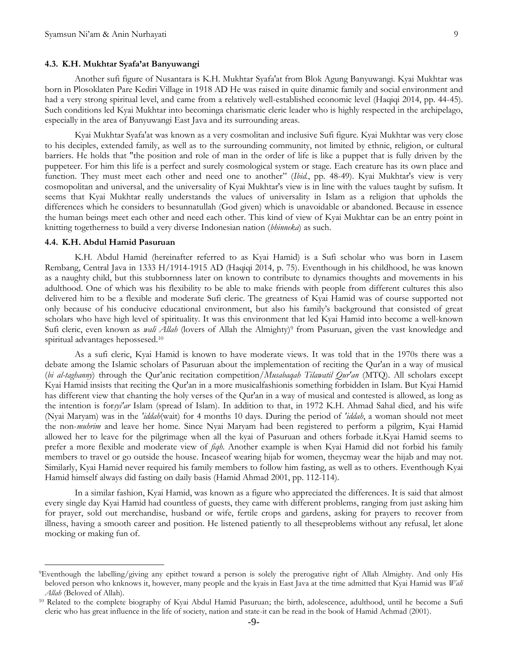#### **4.3. K.H. Mukhtar Syafa'at Banyuwangi**

Another sufi figure of Nusantara is K.H. Mukhtar Syafa'at from Blok Agung Banyuwangi. Kyai Mukhtar was born in Plosoklaten Pare Kediri Village in 1918 AD He was raised in quite dinamic family and social environment and had a very strong spiritual level, and came from a relatively well-established economic level (Haqiqi 2014, pp. 44-45). Such conditions led Kyai Mukhtar into becominga charismatic cleric leader who is highly respected in the archipelago, especially in the area of Banyuwangi East Java and its surrounding areas.

Kyai Mukhtar Syafa'at was known as a very cosmolitan and inclusive Sufi figure. Kyai Mukhtar was very close to his deciples, extended family, as well as to the surrounding community, not limited by ethnic, religion, or cultural barriers. He holds that "the position and role of man in the order of life is like a puppet that is fully driven by the puppeteer. For him this life is a perfect and surely cosmological system or stage. Each creature has its own place and function. They must meet each other and need one to another" (*Ibid.*, pp. 48-49). Kyai Mukhtar's view is very cosmopolitan and universal, and the universality of Kyai Mukhtar's view is in line with the values taught by sufism. It seems that Kyai Mukhtar really understands the values of universality in Islam as a religion that upholds the differences which he considers to besunnatullah (God given) which is unavoidable or abandoned. Because in essence the human beings meet each other and need each other. This kind of view of Kyai Mukhtar can be an entry point in knitting togetherness to build a very diverse Indonesian nation (*bhinneka*) as such.

## **4.4. K.H. Abdul Hamid Pasuruan**

 $\overline{a}$ 

K.H. Abdul Hamid (hereinafter referred to as Kyai Hamid) is a Sufi scholar who was born in Lasem Rembang, Central Java in 1333 H/1914-1915 AD (Haqiqi 2014, p. 75). Eventhough in his childhood, he was known as a naughty child, but this stubbornness later on known to contribute to dynamics thoughts and movements in his adulthood. One of which was his flexibility to be able to make friends with people from different cultures this also delivered him to be a flexible and moderate Sufi cleric. The greatness of Kyai Hamid was of course supported not only because of his conducive educational environment, but also his family's background that consisted of great scholars who have high level of spirituality. It was this environment that led Kyai Hamid into become a well-known Sufi cleric, even known as *wali Allah* (lovers of Allah the Almighty)<sup>9</sup> from Pasuruan, given the vast knowledge and spiritual advantages hepossesed. 10

As a sufi cleric, Kyai Hamid is known to have moderate views. It was told that in the 1970s there was a debate among the Islamic scholars of Pasuruan about the implementation of reciting the Qur'an in a way of musical (*bi al-taghanny*) through the Qur'anic recitation competition/*Musabaqah Tilawatil Qur'an* (MTQ). All scholars except Kyai Hamid insists that reciting the Qur'an in a more musicalfashionis something forbidden in Islam. But Kyai Hamid has different view that chanting the holy verses of the Qur'an in a way of musical and contested is allowed, as long as the intention is for*syi'ar* Islam (spread of Islam). In addition to that, in 1972 K.H. Ahmad Sahal died, and his wife (Nyai Maryam) was in the *'iddah*(wait) for 4 months 10 days. During the period of *'iddah*, a woman should not meet the non-*muhrim* and leave her home. Since Nyai Maryam had been registered to perform a pilgrim, Kyai Hamid allowed her to leave for the pilgrimage when all the kyai of Pasuruan and others forbade it.Kyai Hamid seems to prefer a more flexible and moderate view of *fiqh*. Another example is when Kyai Hamid did not forbid his family members to travel or go outside the house. Incaseof wearing hijab for women, theycmay wear the hijab and may not. Similarly, Kyai Hamid never required his family members to follow him fasting, as well as to others. Eventhough Kyai Hamid himself always did fasting on daily basis (Hamid Ahmad 2001, pp. 112-114).

In a similar fashion, Kyai Hamid, was known as a figure who appreciated the differences. It is said that almost every single day Kyai Hamid had countless of guests, they came with different problems, ranging from just asking him for prayer, sold out merchandise, husband or wife, fertile crops and gardens, asking for prayers to recover from illness, having a smooth career and position. He listened patiently to all theseproblems without any refusal, let alone mocking or making fun of.

<sup>9</sup>Eventhough the labelling/giving any epithet toward a person is solely the prerogative right of Allah Almighty. And only His beloved person who knknows it, however, many people and the kyais in East Java at the time admitted that Kyai Hamid was *Wali Allah* (Beloved of Allah).

<sup>10</sup> Related to the complete biography of Kyai Abdul Hamid Pasuruan; the birth, adolescence, adulthood, until he become a Sufi cleric who has great influence in the life of society, nation and state-it can be read in the book of Hamid Achmad (2001).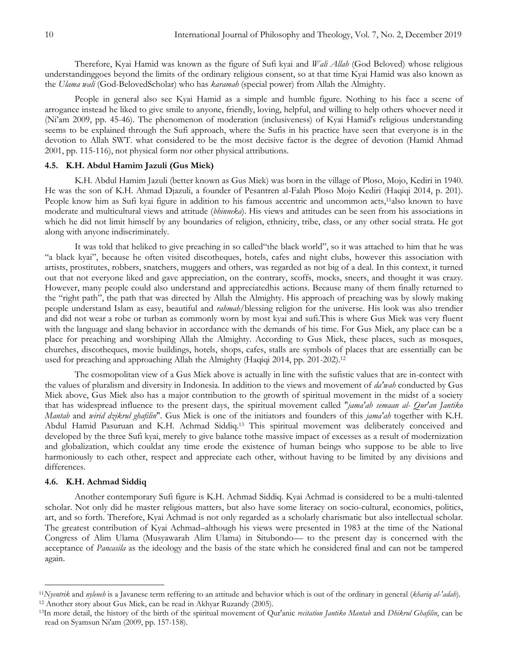Therefore, Kyai Hamid was known as the figure of Sufi kyai and *Wali Allah* (God Beloved) whose religious understandinggoes beyond the limits of the ordinary religious consent, so at that time Kyai Hamid was also known as the *Ulama wali* (God-BelovedScholar) who has *karamah* (special power) from Allah the Almighty.

People in general also see Kyai Hamid as a simple and humble figure. Nothing to his face a scene of arrogance instead he liked to give smile to anyone, friendly, loving, helpful, and willing to help others whoever need it (Ni'am 2009, pp. 45-46). The phenomenon of moderation (inclusiveness) of Kyai Hamid's religious understanding seems to be explained through the Sufi approach, where the Sufis in his practice have seen that everyone is in the devotion to Allah SWT. what considered to be the most decisive factor is the degree of devotion (Hamid Ahmad 2001, pp. 115-116), not physical form nor other physical attributions.

# **4.5. K.H. Abdul Hamim Jazuli (Gus Miek)**

K.H. Abdul Hamim Jazuli (better known as Gus Miek) was born in the village of Ploso, Mojo, Kediri in 1940. He was the son of K.H. Ahmad Djazuli, a founder of Pesantren al-Falah Ploso Mojo Kediri (Haqiqi 2014, p. 201). People know him as Sufi kyai figure in addition to his famous accentric and uncommon acts,<sup>11</sup>also known to have moderate and multicultural views and attitude (*bhinneka*). His views and attitudes can be seen from his associations in which he did not limit himself by any boundaries of religion, ethnicity, tribe, class, or any other social strata. He got along with anyone indiscriminately.

It was told that heliked to give preaching in so called "the black world", so it was attached to him that he was ―a black kyai‖, because he often visited discotheques, hotels, cafes and night clubs, however this association with artists, prostitutes, robbers, snatchers, muggers and others, was regarded as not big of a deal. In this context, it turned out that not everyone liked and gave appreciation, on the contrary, scoffs, mocks, sneers, and thought it was crazy. However, many people could also understand and appreciatedhis actions. Because many of them finally returned to the "right path", the path that was directed by Allah the Almighty. His approach of preaching was by slowly making people understand Islam as easy, beautiful and *rahmah*/blessing religion for the universe. His look was also trendier and did not wear a robe or turban as commonly worn by most kyai and sufi.This is where Gus Miek was very fluent with the language and slang behavior in accordance with the demands of his time. For Gus Miek, any place can be a place for preaching and worshiping Allah the Almighty. According to Gus Miek, these places, such as mosques, churches, discotheques, movie buildings, hotels, shops, cafes, stalls are symbols of places that are essentially can be used for preaching and approaching Allah the Almighty (Haqiqi 2014, pp. 201-202). 12

The cosmopolitan view of a Gus Miek above is actually in line with the sufistic values that are in-contect with the values of pluralism and diversity in Indonesia. In addition to the views and movement of *da'wah* conducted by Gus Miek above, Gus Miek also has a major contribution to the growth of spiritual movement in the midst of a society that has widespread influence to the present days, the spiritual movement called "*jama'ah semaan al- Qur'an Jantiko Mantab* and *wirid dzikrul ghafilin*". Gus Miek is one of the initiators and founders of this *jama'ah* together with K.H. Abdul Hamid Pasuruan and K.H. Achmad Siddiq.<sup>13</sup> This spiritual movement was deliberately conceived and developed by the three Sufi kyai, merely to give balance tothe massive impact of excesses as a result of modernization and globalization, which couldat any time erode the existence of human beings who suppose to be able to live harmoniously to each other, respect and appreciate each other, without having to be limited by any divisions and differences.

## **4.6. K.H. Achmad Siddiq**

 $\overline{a}$ 

Another contemporary Sufi figure is K.H. Achmad Siddiq. Kyai Achmad is considered to be a multi-talented scholar. Not only did he master religious matters, but also have some literacy on socio-cultural, economics, politics, art, and so forth. Therefore, Kyai Achmad is not only regarded as a scholarly charismatic but also intellectual scholar. The greatest contribution of Kyai Achmad–although his views were presented in 1983 at the time of the National Congress of Alim Ulama (Musyawarah Alim Ulama) in Situbondo— to the present day is concerned with the acceptance of *Pancasila* as the ideology and the basis of the state which he considered final and can not be tampered again.

<sup>11</sup>*Nyentrik* and *nyleneh* is a Javanese term reffering to an attitude and behavior which is out of the ordinary in general (*khariq al-'adah*). <sup>12</sup> Another story about Gus Miek, can be read in Akhyar Ruzandy (2005).

<sup>13</sup>In more detail, the history of the birth of the spiritual movement of Qur'anic *recitation Jantiko Mantab* and *Dhikrul Ghafilin*, can be read on Syamsun Ni'am (2009, pp. 157-158).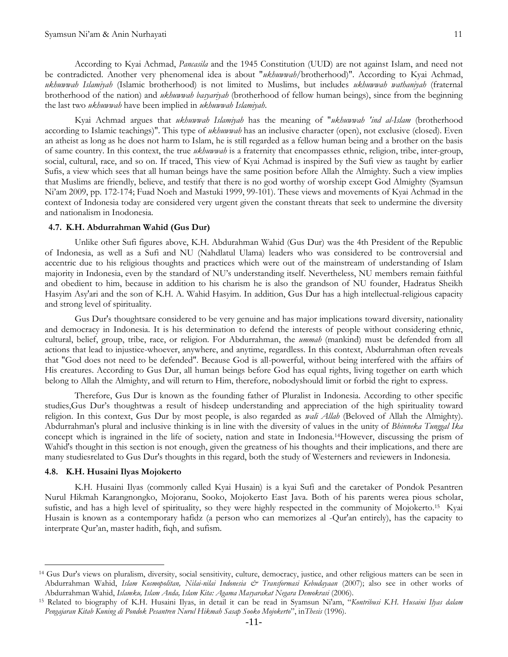According to Kyai Achmad, *Pancasila* and the 1945 Constitution (UUD) are not against Islam, and need not be contradicted. Another very phenomenal idea is about "*ukhuwwah*/brotherhood)". According to Kyai Achmad, *ukhuwwah Islamiyah* (Islamic brotherhood) is not limited to Muslims, but includes *ukhuwwah wathaniyah* (fraternal brotherhood of the nation) and *ukhuwwah basyariyah* (brotherhood of fellow human beings), since from the beginning the last two *ukhuwwah* have been implied in *ukhuwwah Islamiyah*.

Kyai Achmad argues that *ukhuwwah Islamiyah* has the meaning of "*ukhuwwah 'ind al-Islam* (brotherhood according to Islamic teachings)". This type of *ukhuwwah* has an inclusive character (open), not exclusive (closed). Even an atheist as long as he does not harm to Islam, he is still regarded as a fellow human being and a brother on the basis of same country. In this context, the true *ukhuwwah* is a fraternity that encompasses ethnic, religion, tribe, inter-group, social, cultural, race, and so on. If traced, This view of Kyai Achmad is inspired by the Sufi view as taught by earlier Sufis, a view which sees that all human beings have the same position before Allah the Almighty. Such a view implies that Muslims are friendly, believe, and testify that there is no god worthy of worship except God Almighty (Syamsun Ni'am 2009, pp. 172-174; Fuad Noeh and Mastuki 1999, 99-101). These views and movements of Kyai Achmad in the context of Indonesia today are considered very urgent given the constant threats that seek to undermine the diversity and nationalism in Inodonesia.

## **4.7. K.H. Abdurrahman Wahid (Gus Dur)**

Unlike other Sufi figures above, K.H. Abdurahman Wahid (Gus Dur) was the 4th President of the Republic of Indonesia, as well as a Sufi and NU (Nahdlatul Ulama) leaders who was considered to be controversial and accentric due to his religious thoughts and practices which were out of the mainstream of understanding of Islam majority in Indonesia, even by the standard of NU's understanding itself. Nevertheless, NU members remain faithful and obedient to him, because in addition to his charism he is also the grandson of NU founder, Hadratus Sheikh Hasyim Asy'ari and the son of K.H. A. Wahid Hasyim. In addition, Gus Dur has a high intellectual-religious capacity and strong level of spirituality.

Gus Dur's thoughtsare considered to be very genuine and has major implications toward diversity, nationality and democracy in Indonesia. It is his determination to defend the interests of people without considering ethnic, cultural, belief, group, tribe, race, or religion. For Abdurrahman, the *ummah* (mankind) must be defended from all actions that lead to injustice-whoever, anywhere, and anytime, regardless. In this context, Abdurrahman often reveals that "God does not need to be defended". Because God is all-powerful, without being interfered with the affairs of His creatures. According to Gus Dur, all human beings before God has equal rights, living together on earth which belong to Allah the Almighty, and will return to Him, therefore, nobodyshould limit or forbid the right to express.

Therefore, Gus Dur is known as the founding father of Pluralist in Indonesia. According to other specific studies,Gus Dur's thoughtwas a result of hisdeep understanding and appreciation of the high spirituality toward religion. In this context, Gus Dur by most people, is also regarded as *wali Allah* (Beloved of Allah the Almighty). Abdurrahman's plural and inclusive thinking is in line with the diversity of values in the unity of *Bhinneka Tunggal Ika* concept which is ingrained in the life of society, nation and state in Indonesia.14However, discussing the prism of Wahid's thought in this section is not enough, given the greatness of his thoughts and their implications, and there are many studiesrelated to Gus Dur's thoughts in this regard, both the study of Westerners and reviewers in Indonesia.

#### **4.8. K.H. Husaini Ilyas Mojokerto**

 $\overline{a}$ 

K.H. Husaini Ilyas (commonly called Kyai Husain) is a kyai Sufi and the caretaker of Pondok Pesantren Nurul Hikmah Karangnongko, Mojoranu, Sooko, Mojokerto East Java. Both of his parents werea pious scholar, sufistic, and has a high level of spirituality, so they were highly respected in the community of Mojokerto.<sup>15</sup> Kyai Husain is known as a contemporary hafidz (a person who can memorizes al -Qur'an entirely), has the capacity to interprate Qur'an, master hadith, fiqh, and sufism.

<sup>14</sup> Gus Dur's views on pluralism, diversity, social sensitivity, culture, democracy, justice, and other religious matters can be seen in Abdurrahman Wahid, *Islam Kosmopolitan, Nilai-nilai Indonesia & Transformasi Kebudayaan* (2007); also see in other works of Abdurrahman Wahid, *Islamku, Islam Anda, Islam Kita: Agama Masyarakat Negara Demokrasi* (2006).

<sup>&</sup>lt;sup>15</sup> Related to biography of K.H. Husaini Ilyas, in detail it can be read in Syamsun Ni'am, "Kontribusi K.H. Husaini Ilyas dalam Pengajaran Kitab Kuning di Pondok Pesantren Nurul Hikmah Sasap Sooko Mojokerto", in Thesis (1996).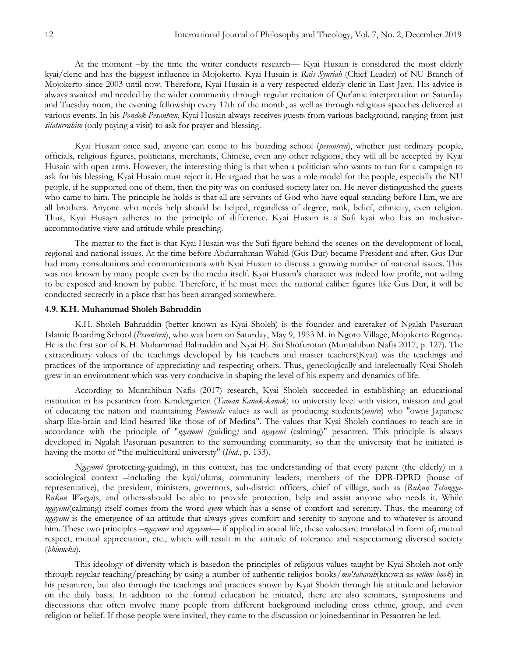At the moment –by the time the writer conducts research— Kyai Husain is considered the most elderly kyai/cleric and has the biggest influence in Mojokerto. Kyai Husain is *Rais Syuriah* (Chief Leader) of NU Branch of Mojokerto since 2003 until now. Therefore, Kyai Husain is a very respected elderly cleric in East Java. His advice is always awaited and needed by the wider community through regular recitation of Qur'anic interpretation on Saturday and Tuesday noon, the evening fellowship every 17th of the month, as well as through religious speeches delivered at various events. In his *Pondok Pesantren*, Kyai Husain always receives guests from various background, ranging from just *silaturrahim* (only paying a visit) to ask for prayer and blessing.

Kyai Husain once said, anyone can come to his boarding school (*pesantren*), whether just ordinary people, officials, religious figures, politicians, merchants, Chinese, even any other religions, they will all be accepted by Kyai Husain with open arms. However, the interesting thing is that when a politician who wants to run for a campaign to ask for his blessing, Kyai Husain must reject it. He argued that he was a role model for the people, especially the NU people, if he supported one of them, then the pity was on confused society later on. He never distinguished the guests who came to him. The principle he holds is that all are servants of God who have equal standing before Him, we are all brothers. Anyone who needs help should be helped, regardless of degree, rank, belief, ethnicity, even religion. Thus, Kyai Husayn adheres to the principle of difference. Kyai Husain is a Sufi kyai who has an inclusiveaccommodative view and attitude while preaching.

The matter to the fact is that Kyai Husain was the Sufi figure behind the scenes on the development of local, regional and national issues. At the time before Abdurrahman Wahid (Gus Dur) became President and after, Gus Dur had many consultations and communications with Kyai Husain to discuss a growing number of national issues. This was not known by many people even by the media itself. Kyai Husain's character was indeed low profile, not willing to be exposed and known by public. Therefore, if he must meet the national caliber figures like Gus Dur, it will be conducted secrectly in a place that has been arranged somewhere.

### **4.9. K.H. Muhammad Sholeh Bahruddin**

K.H. Sholeh Bahruddin (better known as Kyai Sholeh) is the founder and caretaker of Ngalah Pasuruan Islamic Boarding School (*Pesantren*), who was born on Saturday, May 9, 1953 M. in Ngoro Village, Mojokerto Regency. He is the first son of K.H. Muhammad Bahruddin and Nyai Hj. Siti Shofurotun (Muntahibun Nafis 2017, p. 127). The extraordinary values of the teachings developed by his teachers and master teachers(Kyai) was the teachings and practices of the importance of appreciating and respecting others. Thus, geneologically and intelectually Kyai Sholeh grew in an environment which was very conducive in shaping the level of his experty and dynamics of life.

According to Muntahibun Nafis (2017) research, Kyai Sholeh succeeded in establishing an educational institution in his pesantren from Kindergarten (*Taman Kanak-kanak*) to university level with vision, mission and goal of educating the nation and maintaining *Pancasila* values as well as producing students(*santri*) who "owns Japanese sharp like-brain and kind hearted like those of of Medina". The values that Kyai Sholeh continues to teach are in accordance with the principle of "*ngayomi (*guiding*)* and *ngayemi* (calming)" pesantren. This principle is always developed in Ngalah Pasuruan pesantren to the surrounding community, so that the university that he initiated is having the motto of "the multicultural university" (*Ibid.*, p. 133).

*Ngayomi* (protecting-guiding), in this context, has the understanding of that every parent (the elderly) in a sociological context –including the kyai/ulama, community leaders, members of the DPR-DPRD (house of representative), the president, ministers, governors, sub-district officers, chief of village, such as (*Rukun Tetangga-Rukun Warga*)s, and others-should be able to provide protection, help and assist anyone who needs it. While *ngayemi*(calming) itself comes from the word *ayem* which has a sense of comfort and serenity. Thus, the meaning of *ngayemi* is the emergence of an attitude that always gives comfort and serenity to anyone and to whatever is around him. These two principles –*ngayomi* and *ngayemi*— if applied in social life, these valuesare translated in form of; mutual respect, mutual appreciation, etc., which will result in the attitude of tolerance and respectamong diversed society (*bhinneka*).

This ideology of diversity which is basedon the principles of religious values taught by Kyai Sholeh not only through regular teaching/preaching by using a number of authentic religios books/*mu'tabarah*(known as *yellow book*) in his pesantren, but also through the teachings and practices shown by Kyai Sholeh through his attitude and behavior on the daily basis. In addition to the formal education he initiated, there are also seminars, symposiums and discussions that often involve many people from different background including cross ethnic, group, and even religion or belief. If those people were invited, they came to the discussion or joinedseminar in Pesantren he led.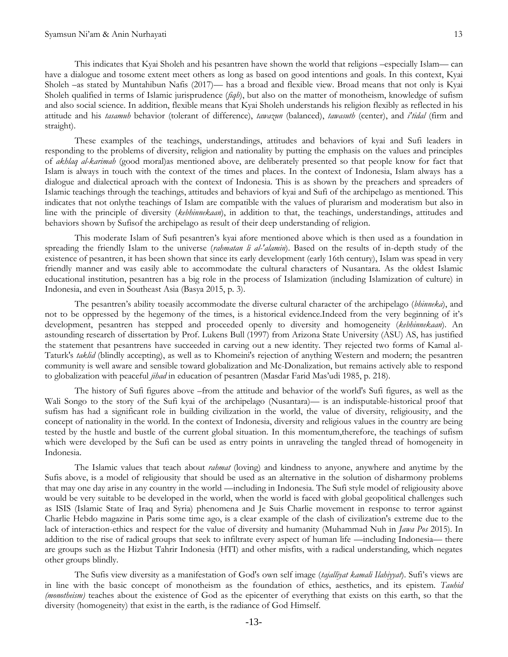This indicates that Kyai Sholeh and his pesantren have shown the world that religions –especially Islam— can have a dialogue and tosome extent meet others as long as based on good intentions and goals. In this context, Kyai Sholeh –as stated by Muntahibun Nafis (2017)— has a broad and flexible view. Broad means that not only is Kyai Sholeh qualified in terms of Islamic jurisprudence (*fiqh*), but also on the matter of monotheism, knowledge of sufism and also social science. In addition, flexible means that Kyai Sholeh understands his religion flexibly as reflected in his attitude and his *tasamuh* behavior (tolerant of difference), *tawazun* (balanced), *tawasuth* (center), and *i'tidal* (firm and straight).

These examples of the teachings, understandings, attitudes and behaviors of kyai and Sufi leaders in responding to the problems of diversity, religion and nationality by putting the emphasis on the values and principles of *akhlaq al-karimah* (good moral)as mentioned above, are deliberately presented so that people know for fact that Islam is always in touch with the context of the times and places. In the context of Indonesia, Islam always has a dialogue and dialectical aproach with the context of Indonesia. This is as shown by the preachers and spreaders of Islamic teachings through the teachings, attitudes and behaviors of kyai and Sufi of the archipelago as mentioned. This indicates that not onlythe teachings of Islam are compatible with the values of plurarism and moderatism but also in line with the principle of diversity (*kebhinnekaan*), in addition to that, the teachings, understandings, attitudes and behaviors shown by Sufisof the archipelago as result of their deep understanding of religion.

This moderate Islam of Sufi pesantren's kyai afore mentioned above which is then used as a foundation in spreading the friendly Islam to the universe (*rahmatan li al-'alamin*). Based on the results of in-depth study of the existence of pesantren, it has been shown that since its early development (early 16th century), Islam was spead in very friendly manner and was easily able to accommodate the cultural characters of Nusantara. As the oldest Islamic educational institution, pesantren has a big role in the process of Islamization (including Islamization of culture) in Indonesia, and even in Southeast Asia (Basya 2015, p. 3).

The pesantren's ability toeasily accommodate the diverse cultural character of the archipelago (*bhinneka*), and not to be oppressed by the hegemony of the times, is a historical evidence.Indeed from the very beginning of it's development, pesantren has stepped and proceeded openly to diversity and homogeneity (*kebhinnekaan*). An astounding research of dissertation by Prof. Lukens Bull (1997) from Arizona State University (ASU) AS, has justified the statement that pesantrens have succeeded in carving out a new identity. They rejected two forms of Kamal al-Taturk's *taklid* (blindly accepting), as well as to Khomeini's rejection of anything Western and modern; the pesantren community is well aware and sensible toward globalization and Mc-Donalization, but remains actively able to respond to globalization with peaceful *jihad* in education of pesantren (Masdar Farid Mas'udi 1985, p. 218).

The history of Sufi figures above –from the attitude and behavior of the world's Sufi figures, as well as the Wali Songo to the story of the Sufi kyai of the archipelago (Nusantara)— is an indisputable-historical proof that sufism has had a significant role in building civilization in the world, the value of diversity, religiousity, and the concept of nationality in the world. In the context of Indonesia, diversity and religious values in the country are being tested by the hustle and bustle of the current global situation. In this momentum,therefore, the teachings of sufism which were developed by the Sufi can be used as entry points in unraveling the tangled thread of homogeneity in Indonesia.

The Islamic values that teach about *rahmat* (loving) and kindness to anyone, anywhere and anytime by the Sufis above, is a model of religiousity that should be used as an alternative in the solution of disharmony problems that may one day arise in any country in the world —including in Indonesia. The Sufi style model of religiousity above would be very suitable to be developed in the world, when the world is faced with global geopolitical challenges such as ISIS (Islamic State of Iraq and Syria) phenomena and Je Suis Charlie movement in response to terror against Charlie Hebdo magazine in Paris some time ago, is a clear example of the clash of civilization's extreme due to the lack of interaction-ethics and respect for the value of diversity and humanity (Muhammad Nuh in *Jawa Pos* 2015). In addition to the rise of radical groups that seek to infiltrate every aspect of human life —including Indonesia— there are groups such as the Hizbut Tahrir Indonesia (HTI) and other misfits, with a radical understanding, which negates other groups blindly.

The Sufis view diversity as a manifestation of God's own self image (*tajalliyat kamali Ilahiyyat*). Sufi's views are in line with the basic concept of monotheism as the foundation of ethics, aesthetics, and its epistem. *Tauhid (monotheism)* teaches about the existence of God as the epicenter of everything that exists on this earth, so that the diversity (homogeneity) that exist in the earth, is the radiance of God Himself.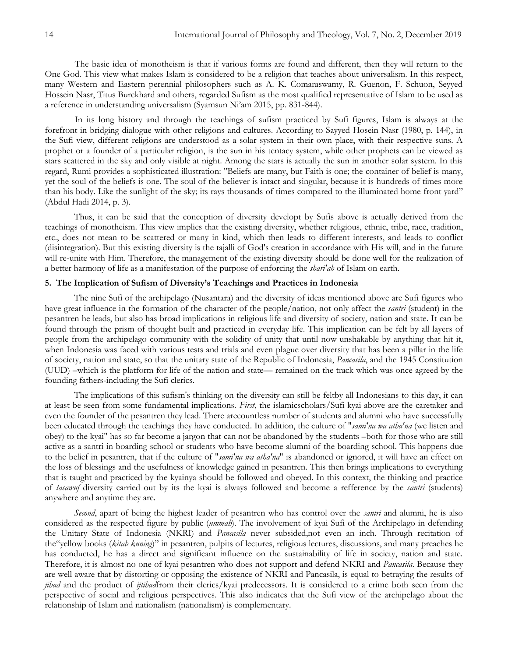The basic idea of monotheism is that if various forms are found and different, then they will return to the One God. This view what makes Islam is considered to be a religion that teaches about universalism. In this respect, many Western and Eastern perennial philosophers such as A. K. Comaraswamy, R. Guenon, F. Schuon, Seyyed Hossein Nasr, Titus Burckhard and others, regarded Sufism as the most qualified representative of Islam to be used as a reference in understanding universalism (Syamsun Ni'am 2015, pp. 831-844).

In its long history and through the teachings of sufism practiced by Sufi figures, Islam is always at the forefront in bridging dialogue with other religions and cultures. According to Sayyed Hosein Nasr (1980, p. 144), in the Sufi view, different religions are understood as a solar system in their own place, with their respective suns. A prophet or a founder of a particular religion, is the sun in his tentacy system, while other prophets can be viewed as stars scattered in the sky and only visible at night. Among the stars is actually the sun in another solar system. In this regard, Rumi provides a sophisticated illustration: "Beliefs are many, but Faith is one; the container of belief is many, yet the soul of the beliefs is one. The soul of the believer is intact and singular, because it is hundreds of times more than his body. Like the sunlight of the sky; its rays thousands of times compared to the illuminated home front yard" (Abdul Hadi 2014, p. 3).

Thus, it can be said that the conception of diversity developt by Sufis above is actually derived from the teachings of monotheism. This view implies that the existing diversity, whether religious, ethnic, tribe, race, tradition, etc., does not mean to be scattered or many in kind, which then leads to different interests, and leads to conflict (disintegration). But this existing diversity is the tajalli of God's creation in accordance with His will, and in the future will re-unite with Him. Therefore, the management of the existing diversity should be done well for the realization of a better harmony of life as a manifestation of the purpose of enforcing the *shari'ah* of Islam on earth.

## **5. The Implication of Sufism of Diversity's Teachings and Practices in Indonesia**

The nine Sufi of the archipelago (Nusantara) and the diversity of ideas mentioned above are Sufi figures who have great influence in the formation of the character of the people/nation, not only affect the *santri* (student) in the pesantren he leads, but also has broad implications in religious life and diversity of society, nation and state. It can be found through the prism of thought built and practiced in everyday life. This implication can be felt by all layers of people from the archipelago community with the solidity of unity that until now unshakable by anything that hit it, when Indonesia was faced with various tests and trials and even plague over diversity that has been a pillar in the life of society, nation and state, so that the unitary state of the Republic of Indonesia, *Pancasila*, and the 1945 Constitution (UUD) –which is the platform for life of the nation and state— remained on the track which was once agreed by the founding fathers-including the Sufi clerics.

The implications of this sufism's thinking on the diversity can still be feltby all Indonesians to this day, it can at least be seen from some fundamental implications. *First*, the islamicscholars/Sufi kyai above are the caretaker and even the founder of the pesantren they lead. There arecountless number of students and alumni who have successfully been educated through the teachings they have conducted. In addition, the culture of "*sami'na wa atha'na* (we listen and obey) to the kyai" has so far become a jargon that can not be abandoned by the students –both for those who are still active as a santri in boarding school or students who have become alumni of the boarding school. This happens due to the belief in pesantren, that if the culture of "*sami'na wa atha'na*" is abandoned or ignored, it will have an effect on the loss of blessings and the usefulness of knowledge gained in pesantren. This then brings implications to everything that is taught and practiced by the kyainya should be followed and obeyed. In this context, the thinking and practice of *tasawuf* diversity carried out by its the kyai is always followed and become a refference by the *santri* (students) anywhere and anytime they are.

*Second*, apart of being the highest leader of pesantren who has control over the *santri* and alumni, he is also considered as the respected figure by public (*ummah*). The involvement of kyai Sufi of the Archipelago in defending the Unitary State of Indonesia (NKRI) and *Pancasila* never subsided,not even an inch. Through recitation of the "yellow books (*kitab kuning*)" in pesantren, pulpits of lectures, religious lectures, discussions, and many preaches he has conducted, he has a direct and significant influence on the sustainability of life in society, nation and state. Therefore, it is almost no one of kyai pesantren who does not support and defend NKRI and *Pancasila*. Because they are well aware that by distorting or opposing the existence of NKRI and Pancasila, is equal to betraying the results of *jihad* and the product of *ijtihad*from their clerics/kyai predecessors. It is considered to a crime both seen from the perspective of social and religious perspectives. This also indicates that the Sufi view of the archipelago about the relationship of Islam and nationalism (nationalism) is complementary.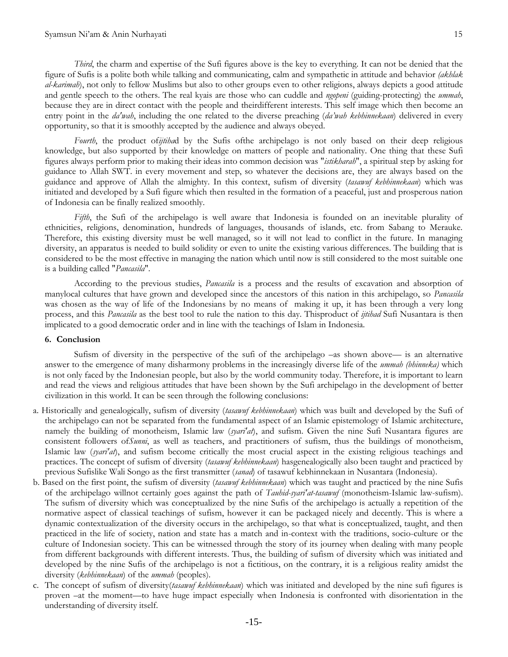*Third*, the charm and expertise of the Sufi figures above is the key to everything. It can not be denied that the figure of Sufis is a polite both while talking and communicating, calm and sympathetic in attitude and behavior *(akhlak al-karimah*), not only to fellow Muslims but also to other groups even to other religions, always depicts a good attitude and gentle speech to the others. The real kyais are those who can cuddle and *ngopeni* (guiding-protecting) the *ummah*, because they are in direct contact with the people and theirdifferent interests. This self image which then become an entry point in the *da'wah*, including the one related to the diverse preaching (*da"wah kebhinnekaan*) delivered in every opportunity, so that it is smoothly accepted by the audience and always obeyed.

*Fourth*, the product of*ijtiha*d by the Sufis ofthe archipelago is not only based on their deep religious knowledge, but also supported by their knowledge on matters of people and nationality. One thing that these Sufi figures always perform prior to making their ideas into common decision was "*istikharah*", a spiritual step by asking for guidance to Allah SWT. in every movement and step, so whatever the decisions are, they are always based on the guidance and approve of Allah the almighty. In this context, sufism of diversity (*tasawuf kebhinnekaan*) which was initiated and developed by a Sufi figure which then resulted in the formation of a peaceful, just and prosperous nation of Indonesia can be finally realized smoothly.

*Fifth*, the Sufi of the archipelago is well aware that Indonesia is founded on an inevitable plurality of ethnicities, religions, denomination, hundreds of languages, thousands of islands, etc. from Sabang to Merauke. Therefore, this existing diversity must be well managed, so it will not lead to conflict in the future. In managing diversity, an apparatus is needed to build solidity or even to unite the existing various differences. The building that is considered to be the most effective in managing the nation which until now is still considered to the most suitable one is a building called "*Pancasila*".

According to the previous studies, *Pancasila* is a process and the results of excavation and absorption of manylocal cultures that have grown and developed since the ancestors of this nation in this archipelago, so *Pancasila* was chosen as the way of life of the Indonesians by no means of making it up, it has been through a very long process, and this *Pancasila* as the best tool to rule the nation to this day. Thisproduct of *ijtihad* Sufi Nusantara is then implicated to a good democratic order and in line with the teachings of Islam in Indonesia.

# **6. Conclusion**

Sufism of diversity in the perspective of the sufi of the archipelago –as shown above— is an alternative answer to the emergence of many disharmony problems in the increasingly diverse life of the *ummah (bhinneka)* which is not only faced by the Indonesian people, but also by the world community today. Therefore, it is important to learn and read the views and religious attitudes that have been shown by the Sufi archipelago in the development of better civilization in this world. It can be seen through the following conclusions:

- a. Historically and genealogically, sufism of diversity (*tasawuf kebhinnekaan*) which was built and developed by the Sufi of the archipelago can not be separated from the fundamental aspect of an Islamic epistemology of Islamic architecture, namely the building of monotheism, Islamic law (*syari'at*), and sufism. Given the nine Sufi Nusantara figures are consistent followers of*Sunni*, as well as teachers, and practitioners of sufism, thus the buildings of monotheism, Islamic law (*syari'at*), and sufism become critically the most crucial aspect in the existing religious teachings and practices. The concept of sufism of diversity (*tasawuf kebhinnekaan*) hasgenealogically also been taught and practiced by previous Sufislike Wali Songo as the first transmitter (*sanad*) of tasawuf kebhinnekaan in Nusantara (Indonesia).
- b. Based on the first point, the sufism of diversity (*tasawuf kebhinnekaan*) which was taught and practiced by the nine Sufis of the archipelago willnot certainly goes against the path of *Tauhid-syari'at-tasawuf* (monotheism-Islamic law-sufism). The sufism of diversity which was conceptualized by the nine Sufis of the archipelago is actually a repetition of the normative aspect of classical teachings of sufism, however it can be packaged nicely and decently. This is where a dynamic contextualization of the diversity occurs in the archipelago, so that what is conceptualized, taught, and then practiced in the life of society, nation and state has a match and in-context with the traditions, socio-culture or the culture of Indonesian society. This can be witnessed through the story of its journey when dealing with many people from different backgrounds with different interests. Thus, the building of sufism of diversity which was initiated and developed by the nine Sufis of the archipelago is not a fictitious, on the contrary, it is a religious reality amidst the diversity (*kebhinnekaan*) of the *ummah* (peoples).
- c. The concept of sufism of diversity(*tasawuf kebhinnekaan*) which was initiated and developed by the nine sufi figures is proven –at the moment—to have huge impact especially when Indonesia is confronted with disorientation in the understanding of diversity itself.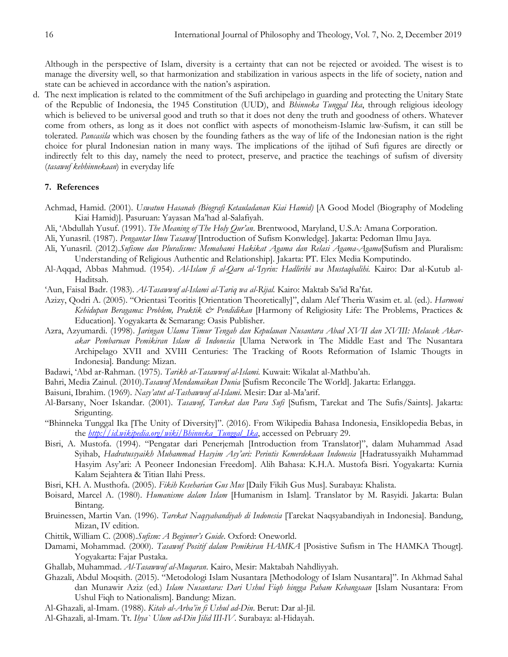Although in the perspective of Islam, diversity is a certainty that can not be rejected or avoided. The wisest is to manage the diversity well, so that harmonization and stabilization in various aspects in the life of society, nation and state can be achieved in accordance with the nation's aspiration.

d. The next implication is related to the commitment of the Sufi archipelago in guarding and protecting the Unitary State of the Republic of Indonesia, the 1945 Constitution (UUD), and *Bhinneka Tunggal Ika*, through religious ideology which is believed to be universal good and truth so that it does not deny the truth and goodness of others. Whatever come from others, as long as it does not conflict with aspects of monotheism-Islamic law-Sufism, it can still be tolerated. *Pancasila* which was chosen by the founding fathers as the way of life of the Indonesian nation is the right choice for plural Indonesian nation in many ways. The implications of the ijtihad of Sufi figures are directly or indirectly felt to this day, namely the need to protect, preserve, and practice the teachings of sufism of diversity (*tasawuf kebhinnekaan*) in everyday life

# **7. References**

- Achmad, Hamid. (2001). *Uswatun Hasanah (Biografi Ketauladanan Kiai Hamid)* [A Good Model (Biography of Modeling Kiai Hamid)]. Pasuruan: Yayasan Ma'had al-Salafiyah.
- Ali, ‗Abdullah Yusuf. (1991). *The Meaning of The Holy Qur"an*. Brentwood, Maryland, U.S.A: Amana Corporation.
- Ali, Yunasril. (1987). *Pengantar Ilmu Tasawuf* [Introduction of Sufism Konwledge]. Jakarta: Pedoman Ilmu Jaya.
- Ali, Yunasril. (2012).*Sufisme dan Pluralisme: Memahami Hakikat Agama dan Relasi Agama-Agama*[Sufism and Pluralism: Understanding of Religious Authentic and Relationship]. Jakarta: PT. Elex Media Komputindo.
- Al-Aqqad, Abbas Mahmud. (1954). *Al-Islam fi al-Qarn al-"Isyrin: Hadlirihi wa Mustaqbalihi.* Kairo: Dar al-Kutub al-Haditsah.
- ‗Aun, Faisal Badr. (1983). *Al-Tasawwuf al-Islami al-Tariq wa al-Rijal.* Kairo: Maktab Sa'id Ra'fat.
- Azizy, Qodri A. (2005). ―Orientasi Teoritis [Orientation Theoretically]‖, dalam Alef Theria Wasim et. al. (ed.). *Harmoni Kehidupan Beragama: Problem, Praktik & Pendidikan* [Harmony of Religiosity Life: The Problems, Practices & Education]. Yogyakarta & Semarang: Oasis Publisher.
- Azra, Azyumardi. (1998). *Jaringan Ulama Timur Tengah dan Kepulauan Nusantara Abad XVII dan XVIII: Melacak Akarakar Pembaruan Pemikiran Islam di Indonesia* [Ulama Network in The Middle East and The Nusantara Archipelago XVII and XVIII Centuries: The Tracking of Roots Reformation of Islamic Thougts in Indonesia]*.* Bandung: Mizan.
- Badawi, ‗Abd ar-Rahman. (1975). *Tarikh at-Tasawwuf al-Islami.* Kuwait: Wikalat al-Mathbu'ah.
- Bahri, Media Zainul. (2010).*Tasawuf Mendamaikan Dunia* [Sufism Reconcile The World]. Jakarta: Erlangga.
- Baisuni, Ibrahim. (1969). *Nasy"atut al-Tashawwuf al-Islami*. Mesir: Dar al-Ma'arif.
- Al-Barsany, Noer Iskandar. (2001). *Tasawuf, Tarekat dan Para Sufi* [Sufism, Tarekat and The Sufis/Saints]. Jakarta: Srigunting.
- ―Bhinneka Tunggal Ika [The Unity of Diversity]‖. (2016). From Wikipedia Bahasa Indonesia, Ensiklopedia Bebas, in the *[http://id.wikipedia.org/wiki/Bhinneka\\_Tunggal\\_Ika](http://id.wikipedia.org/wiki/Bhinneka_Tunggal_Ika)*, accessed on Pebruary 29.
- Bisri, A. Mustofa. (1994). "Pengatar dari Penerjemah [Introduction from Translator]", dalam Muhammad Asad Syihab, *Hadratussyaikh Muhammad Hasyim Asy"ari: Perintis Kemerdekaan Indonesia* [Hadratussyaikh Muhammad Hasyim Asy'ari: A Peoneer Indonesian Freedom]. Alih Bahasa: K.H.A. Mustofa Bisri. Yogyakarta: Kurnia Kalam Sejahtera & Titian Ilahi Press.
- Bisri, KH. A. Musthofa. (2005). *Fikih Keseharian Gus Mus* [Daily Fikih Gus Mus]*.* Surabaya: Khalista.
- Boisard, Marcel A. (1980). *Humanisme dalam Islam* [Humanism in Islam]*.* Translator by M. Rasyidi. Jakarta: Bulan Bintang.
- Bruinessen, Martin Van. (1996). *Tarekat Naqsyabandiyah di Indonesia* [Tarekat Naqsyabandiyah in Indonesia]*.* Bandung, Mizan, IV edition.
- Chittik, William C. (2008).*Sufism: A Beginner"s Guide*. Oxford: Oneworld.
- Damami, Mohammad. (2000). *Tasawuf Positif dalam Pemikiran HAMKA* [Posistive Sufism in The HAMKA Thougt]. Yogyakarta: Fajar Pustaka.
- Ghallab, Muhammad. *Al-Tasawwuf al-Muqaran*. Kairo, Mesir: Maktabah Nahdliyyah.
- Ghazali, Abdul Moqsith. (2015). "Metodologi Islam Nusantara [Methodology of Islam Nusantara]". In Akhmad Sahal dan Munawir Aziz (ed.) *Islam Nusantara: Dari Ushul Fiqh hingga Paham Kebangsaan* [Islam Nusantara: From Ushul Fiqh to Nationalism]. Bandung: Mizan.
- Al-Ghazali, al-Imam. (1988). *Kitab al-Arba"in fi Ushul ad-Din*. Berut: Dar al-Jil.
- Al-Ghazali, al-Imam. Tt. *Ihya` Ulum ad-Din Jilid III-IV.* Surabaya: al-Hidayah.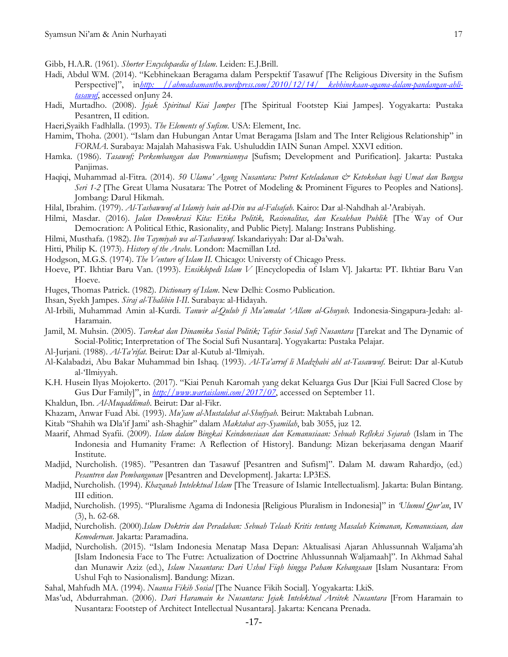Gibb, H.A.R. (1961). *Shorter Encyclopaedia of Islam*. Leiden: E.J.Brill.

- Hadi, Abdul WM. (2014). "Kebhinekaan Beragama dalam Perspektif Tasawuf [The Religious Diversity in the Sufism Perspective]‖, in*[http: //ahmadsamantho.wordpress.com/2010/12/14/ kebhinekaan-agama-dalam-pandangan-ahli](http://ahmadsamantho.wordpress.com/2010/12/14/kebhinekaan-agama-dalam-pandangan-ahli-tasawuf)[tasawuf](http://ahmadsamantho.wordpress.com/2010/12/14/kebhinekaan-agama-dalam-pandangan-ahli-tasawuf)*, accessed onJuny 24.
- Hadi, Murtadho. (2008). *Jejak Spiritual Kiai Jampes* [The Spiritual Footstep Kiai Jampes]*.* Yogyakarta: Pustaka Pesantren, II edition.
- Haeri,Syaikh Fadhlalla. (1993). *The Elements of Sufism*. USA: Element, Inc.
- Hamim, Thoha. (2001). "Islam dan Hubungan Antar Umat Beragama [Islam and The Inter Religious Relationship" in *FORMA*. Surabaya: Majalah Mahasiswa Fak. Ushuluddin IAIN Sunan Ampel. XXVI edition.
- Hamka. (1986). *Tasawuf; Perkembangan dan Pemurniannya* [Sufism; Development and Purification]. Jakarta: Pustaka Panjimas.
- Haqiqi, Muhammad al-Fitra. (2014). *50 Ulama" Agung Nusantara: Potret Keteladanan & Ketokohan bagi Umat dan Bangsa Seri 1-2* [The Great Ulama Nusatara: The Potret of Modeling & Prominent Figures to Peoples and Nations]. Jombang: Darul Hikmah.
- Hilal, Ibrahim. (1979). *Al-Tashawwuf al Islamiy bain ad-Din wa al-Falsafah*. Kairo: Dar al-Nahdhah al-'Arabiyah.
- Hilmi, Masdar. (2016). *Jalan Demokrasi Kita: Etika Politik, Rasionalitas, dan Kesalehan Publik* [The Way of Our Democration: A Political Ethic, Rasionality, and Public Piety]. Malang: Instrans Publishing.
- Hilmi, Musthafa. (1982). *Ibn Taymiyah wa al-Tashawwuf*. Iskandariyyah: Dar al-Da'wah.
- Hitti, Philip K. (1973). *History of the Arabs*. London: Macmillan Ltd.
- Hodgson, M.G.S. (1974). *The Venture of Islam II.* Chicago: Universty of Chicago Press.
- Hoeve, PT. Ikhtiar Baru Van. (1993). *Ensiklopedi Islam V* [Encyclopedia of Islam V]. Jakarta: PT. Ikhtiar Baru Van Hoeve.
- Huges, Thomas Patrick. (1982). *Dictionary of Islam*. New Delhi: Cosmo Publication.
- Ihsan, Syekh Jampes. *Siraj al-Thalibin I-II*. Surabaya: al-Hidayah.
- Al-Irbili, Muhammad Amin al-Kurdi. *Tanwir al-Qulub fi Mu"amalat "Allam al-Ghuyub*. Indonesia-Singapura-Jedah: al-Haramain.
- Jamil, M. Muhsin. (2005). *Tarekat dan Dinamika Sosial Politik; Tafsir Sosial Sufi Nusantara* [Tarekat and The Dynamic of Social-Politic; Interpretation of The Social Sufi Nusantara]. Yogyakarta: Pustaka Pelajar.
- Al-Jurjani. (1988). *Al-Ta'rifat*. Beirut: Dar al-Kutub al-Ilmiyah.
- Al-Kalabadzi, Abu Bakar Muhammad bin Ishaq. (1993). *Al-Ta"arruf li Madzhabi ahl at-Tasawwuf*. Beirut: Dar al-Kutub al-Ilmiyyah.
- K.H. Husein Ilyas Mojokerto. (2017). "Kiai Penuh Karomah yang dekat Keluarga Gus Dur [Kiai Full Sacred Close by Gus Dur Family]", in *<http://www.wartaislami.com/2017/07>*, accessed on September 11.
- Khaldun, Ibn. *Al-Muqaddimah*. Beirut: Dar al-Fikr.
- Khazam, Anwar Fuad Abi. (1993). *Mu"jam al-Mustalahat al-Shufiyah.* Beirut: Maktabah Lubnan.
- Kitab "Shahih wa Dla'if Jami' ash-Shaghir" dalam *Maktabat asy-Syamilah*, bab 3055, juz 12.
- Maarif, Ahmad Syafii. (2009). *Islam dalam Bingkai Keindonesiaan dan Kemanusiaan: Sebuah Refleksi Sejarah* (Islam in The Indonesia and Humanity Frame: A Reflection of History]. Bandung: Mizan bekerjasama dengan Maarif Institute.
- Madjid, Nurcholish. (1985). "Pesantren dan Tasawuf [Pesantren and Sufism]". Dalam M. dawam Rahardjo, (ed.) *Pesantren dan Pembangunan* [Pesantren and Development]. Jakarta: LP3ES.
- Madjid, Nurcholish. (1994). *Khazanah Intelektual Islam* [The Treasure of Islamic Intellectualism]*.* Jakarta: Bulan Bintang. III edition.
- Madjid, Nurcholish. (1995). "Pluralisme Agama di Indonesia [Religious Pluralism in Indonesia]" in *"Ulumul Qur'an*, IV (3), h. 62-68.
- Madjid, Nurcholish. (2000).*Islam Doktrin dan Peradaban: Sebuah Telaah Kritis tentang Masalah Keimanan, Kemanusiaan, dan Kemodernan*. Jakarta: Paramadina.
- Madjid, Nurcholish. (2015). "Islam Indonesia Menatap Masa Depan: Aktualisasi Ajaran Ahlussunnah Waljama'ah [Islam Indonesia Face to The Futre: Actualization of Doctrine Ahlussunnah Waljamaah]‖. In Akhmad Sahal dan Munawir Aziz (ed.), *Islam Nusantara: Dari Ushul Fiqh hingga Paham Kebangsaan* [Islam Nusantara: From Ushul Fqh to Nasionalism]. Bandung: Mizan.
- Sahal, Mahfudh MA. (1994). *Nuansa Fikih Sosial* [The Nuance Fikih Social]*.* Yogyakarta: LkiS.
- Mas'ud, Abdurrahman. (2006). *Dari Haramain ke Nusantara: Jejak Intelektual Arsitek Nusantara* [From Haramain to Nusantara: Footstep of Architect Intellectual Nusantara]. Jakarta: Kencana Prenada.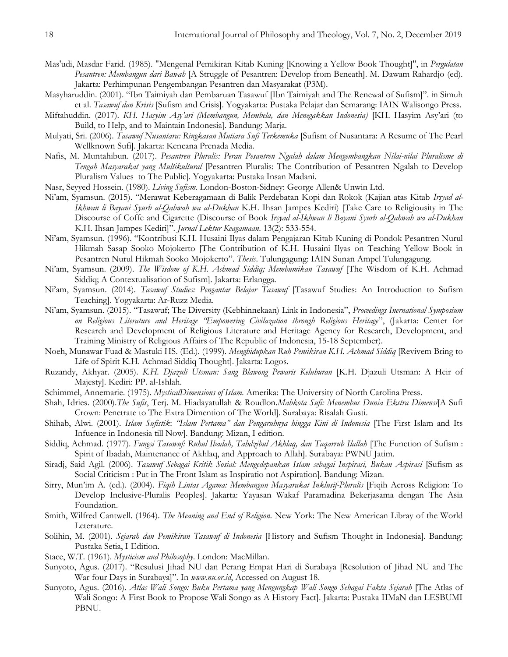- Mas'udi, Masdar Farid. (1985). "Mengenal Pemikiran Kitab Kuning [Knowing a Yellow Book Thought]", in *Pergulatan Pesantren: Membangun dari Bawah* [A Struggle of Pesantren: Develop from Beneath]. M. Dawam Rahardjo (ed). Jakarta: Perhimpunan Pengembangan Pesantren dan Masyarakat (P3M).
- Masyharuddin. (2001). "Ibn Taimiyah dan Pembaruan Tasawuf [Ibn Taimiyah and The Renewal of Sufism]". in Simuh et al. *Tasawuf dan Krisis* [Sufism and Crisis]. Yogyakarta: Pustaka Pelajar dan Semarang: IAIN Walisongo Press.
- Miftahuddin. (2017). *KH. Hasyim Asy"ari (Membangun, Membela, dan Menegakkan Indonesia)* [KH. Hasyim Asy'ari (to Build, to Help, and to Maintain Indonesia]. Bandung: Marja.
- Mulyati, Sri. (2006). *Tasawuf Nusantara: Ringkasan Mutiara Sufi Terkemuka* [Sufism of Nusantara: A Resume of The Pearl Wellknown Sufi]. Jakarta: Kencana Prenada Media.
- Nafis, M. Muntahibun. (2017). *Pesantren Pluralis: Peran Pesantren Ngalah dalam Mengembangkan Nilai-nilai Pluralisme di Tengah Masyarakat yang Multikultural* [Pesantren Pluralis: The Contribution of Pesantren Ngalah to Develop Pluralism Values to The Public]. Yogyakarta: Pustaka Insan Madani.
- Nasr, Seyyed Hossein. (1980). *Living Sufism.* London-Boston-Sidney: George Allen& Unwin Ltd.
- Ni'am, Syamsun. (2015). "Merawat Keberagamaan di Balik Perdebatan Kopi dan Rokok (Kajian atas Kitab *Irsyad al-Ikhwan li Bayani Syurb al-Qahwah wa al-Dukhan* K.H. Ihsan Jampes Kediri) [Take Care to Religiousity in The Discourse of Coffe and Cigarette (Discourse of Book *Irsyad al-Ikhwan li Bayani Syurb al-Qahwah wa al-Dukhan* K.H. Ihsan Jampes Kediri]". *Jurnal Lektur Keagamaan*. 13(2): 533-554.
- Ni'am, Syamsun. (1996). "Kontribusi K.H. Husaini Ilyas dalam Pengajaran Kitab Kuning di Pondok Pesantren Nurul Hikmah Sasap Sooko Mojokerto [The Contribution of K.H. Husaini Ilyas on Teaching Yellow Book in Pesantren Nurul Hikmah Sooko Mojokerto". *Thesis*. Tulungagung: IAIN Sunan Ampel Tulungagung.
- Ni'am, Syamsun. (2009). *The Wisdom of K.H. Achmad Siddiq; Membumikan Tasawuf* [The Wisdom of K.H. Achmad Siddiq; A Contextualisation of Sufism]*.* Jakarta: Erlangga.
- Ni'am, Syamsun. (2014). *Tasawuf Studies: Pengantar Belajar Tasawuf* [Tasawuf Studies: An Introduction to Sufism Teaching]. Yogyakarta: Ar-Ruzz Media.
- Ni'am, Syamsun. (2015). "Tasawuf; The Diversity (Kebhinnekaan) Link in Indonesia", *Proceedings Inernational Symposium* on Religious Literature and Heritage "Empowering Civilazation through Religious Heritage", (Jakarta: Center for Research and Development of Religious Literature and Heritage Agency for Research, Development, and Training Ministry of Religious Affairs of The Republic of Indonesia, 15-18 September).
- Noeh, Munawar Fuad & Mastuki HS. (Ed.). (1999). *Menghidupkan Ruh Pemikiran K.H. Achmad Siddiq* [Revivem Bring to Life of Spirit K.H. Achmad Siddiq Thought]. Jakarta: Logos.
- Ruzandy, Akhyar. (2005). *K.H. Djazuli Utsman: Sang Blawong Pewaris Keluhuran* [K.H. Djazuli Utsman: A Heir of Majesty]. Kediri: PP. al-Ishlah.
- Schimmel, Annemarie. (1975). *MysticalDimensions of Islam.* Amerika: The University of North Carolina Press.
- Shah, Idries. (2000).*The Sufis*, Terj. M. Hiadayatullah & Roudlon.*Mahkota Sufi: Menembus Dunia Ekstra Dimensi*[A Sufi Crown: Penetrate to The Extra Dimention of The World]. Surabaya: Risalah Gusti.
- Shihab, Alwi. (2001). *Islam Sufistik*: *"Islam Pertama" dan Pengaruhnya hingga Kini di Indonesia* [The First Islam and Its Infuence in Indonesia till Now]. Bandung: Mizan, I edition.
- Siddiq, Achmad. (1977). *Fungsi Tasawuf: Ruhul Ibadah, Tahdzibul Akhlaq, dan Taqarrub Ilallah* [The Function of Sufism : Spirit of Ibadah, Maintenance of Akhlaq, and Approach to Allah]*.* Surabaya: PWNU Jatim.
- Siradj, Said Agil. (2006). *Tasawuf Sebagai Kritik Sosial: Mengedepankan Islam sebagai Inspirasi, Bukan Aspirasi* [Sufism as Social Criticism : Put in The Front Islam as Inspiratio not Aspiration]. Bandung: Mizan.
- Sirry, Mun'im A. (ed.). (2004). *Fiqih Lintas Agama: Membangun Masyarakat Inklusif-Pluralis* [Fiqih Across Religion: To Develop Inclusive-Pluralis Peoples]. Jakarta: Yayasan Wakaf Paramadina Bekerjasama dengan The Asia Foundation.
- Smith, Wilfred Cantwell. (1964). *The Meaning and End of Religion*. New York: The New American Libray of the World Leterature.
- Solihin, M. (2001). *Sejarah dan Pemikiran Tasawuf di Indonesia* [History and Sufism Thought in Indonesia]*.* Bandung: Pustaka Setia, I Edition.
- Stace, W.T. (1961). *Mysticism and Philosophy*. London: MacMillan.
- Sunyoto, Agus. (2017). "Resulusi Jihad NU dan Perang Empat Hari di Surabaya [Resolution of Jihad NU and The War four Days in Surabaya]". In **www.nu.or.id**, Accessed on August 18.
- Sunyoto, Agus. (2016). *Atlas Wali Songo: Buku Pertama yang Mengungkap Wali Songo Sebagai Fakta Sejarah* [The Atlas of Wali Songo: A First Book to Propose Wali Songo as A History Fact]. Jakarta: Pustaka IIMaN dan LESBUMI PBNU.